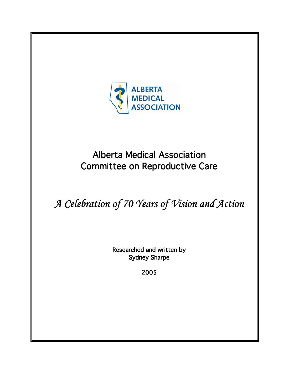

## **Alberta Medical Association** Committee on Reproductive Care

# A Celebration of 70 Years of Vision and Action

Researched and written by **Sydney Sharpe** 

2005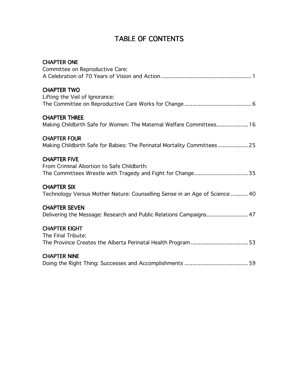## TABLE OF CONTENTS

| <b>CHAPTER ONE</b><br>Committee on Reproductive Care:                                                                           |
|---------------------------------------------------------------------------------------------------------------------------------|
| <b>CHAPTER TWO</b><br>Lifting the Veil of Ignorance:                                                                            |
| <b>CHAPTER THREE</b><br>Making Childbirth Safe for Women: The Maternal Welfare Committees 16                                    |
| <b>CHAPTER FOUR</b><br>Making Childbirth Safe for Babies: The Perinatal Mortality Committees25                                  |
| <b>CHAPTER FIVE</b><br>From Criminal Abortion to Safe Childbirth:<br>The Committees Wrestle with Tragedy and Fight for Change35 |
| <b>CHAPTER SIX</b><br>Technology Versus Mother Nature: Counselling Sense in an Age of Science  40                               |
| <b>CHAPTER SEVEN</b><br>Delivering the Message: Research and Public Relations Campaigns 47                                      |
| <b>CHAPTER EIGHT</b><br>The Final Tribute:                                                                                      |
| <b>CHAPTER NINE</b>                                                                                                             |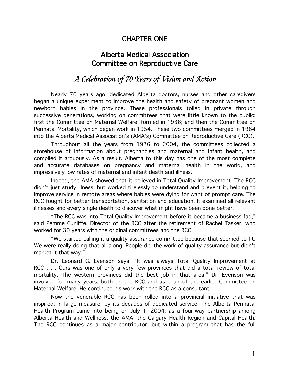## **CHAPTER ONE**

## **Alberta Medical Association Committee on Reproductive Care**

## A Celebration of 70 Years of Vision and Action

Nearly 70 years ago, dedicated Alberta doctors, nurses and other caregivers began a unique experiment to improve the health and safety of pregnant women and newborn babies in the province. These professionals toiled in private through successive generations, working on committees that were little known to the public: first the Committee on Maternal Welfare, formed in 1936; and then the Committee on Perinatal Mortality, which began work in 1954. These two committees merged in 1984 into the Alberta Medical Association's (AMA's) Committee on Reproductive Care (RCC).

Throughout all the years from 1936 to 2004, the committees collected a storehouse of information about pregnancies and maternal and infant health, and compiled it arduously. As a result, Alberta to this day has one of the most complete and accurate databases on pregnancy and maternal health in the world, and impressively low rates of maternal and infant death and illness.

Indeed, the AMA showed that it believed in Total Quality Improvement. The RCC didn't just study illness, but worked tirelessly to understand and prevent it, helping to improve service in remote areas where babies were dying for want of prompt care. The RCC fought for better transportation, sanitation and education. It examined all relevant illnesses and every single death to discover what might have been done better.

"The RCC was into Total Quality Improvement before it became a business fad," said Pemme Cunliffe, Director of the RCC after the retirement of Rachel Tasker, who worked for 30 years with the original committees and the RCC.

"We started calling it a quality assurance committee because that seemed to fit. We were really doing that all along. People did the work of quality assurance but didn't market it that way."

Dr. Leonard G. Evenson says: "It was always Total Quality Improvement at RCC . . . Ours was one of only a very few provinces that did a total review of total mortality. The western provinces did the best job in that area." Dr. Evenson was involved for many years, both on the RCC and as chair of the earlier Committee on Maternal Welfare. He continued his work with the RCC as a consultant.

Now the venerable RCC has been rolled into a provincial initiative that was inspired, in large measure, by its decades of dedicated service. The Alberta Perinatal Health Program came into being on July 1, 2004, as a four-way partnership among Alberta Health and Wellness, the AMA, the Calgary Health Region and Capital Health. The RCC continues as a major contributor, but within a program that has the full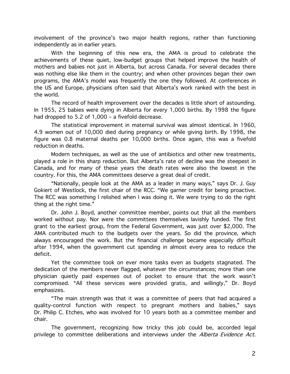involvement of the province's two major health regions, rather than functioning independently as in earlier years.

With the beginning of this new era, the AMA is proud to celebrate the achievements of these quiet, low-budget groups that helped improve the health of mothers and babies not just in Alberta, but across Canada. For several decades there was nothing else like them in the country; and when other provinces began their own programs, the AMA's model was frequently the one they followed. At conferences in the US and Europe, physicians often said that Alberta's work ranked with the best in the world.

The record of health improvement over the decades is little short of astounding. In 1955, 25 babies were dying in Alberta for every 1,000 births. By 1998 the figure had dropped to 5.2 of 1,000 - a fivefold decrease.

The statistical improvement in maternal survival was almost identical. In 1960, 4.9 women out of 10,000 died during pregnancy or while giving birth. By 1998, the figure was 0.8 maternal deaths per 10,000 births. Once again, this was a fivefold reduction in deaths.

Modern techniques, as well as the use of antibiotics and other new treatments. played a role in this sharp reduction. But Alberta's rate of decline was the steepest in Canada, and for many of these years the death rates were also the lowest in the country. For this, the AMA committees deserve a great deal of credit.

"Nationally, people look at the AMA as a leader in many ways," says Dr. J. Guy Gokiert of Westlock, the first chair of the RCC. "We garner credit for being proactive. The RCC was something I relished when I was doing it. We were trying to do the right thing at the right time."

Dr. John J. Boyd, another committee member, points out that all the members worked without pay. Nor were the committees themselves lavishly funded. The first grant to the earliest group, from the Federal Government, was just over \$2,000. The AMA contributed much to the budgets over the years. So did the province, which always encouraged the work. But the financial challenge became especially difficult after 1994, when the government cut spending in almost every area to reduce the deficit.

Yet the committee took on ever more tasks even as budgets stagnated. The dedication of the members never flagged, whatever the circumstances; more than one physician quietly paid expenses out of pocket to ensure that the work wasn't compromised. "All these services were provided gratis, and willingly," Dr. Boyd emphasizes.

"The main strength was that it was a committee of peers that had acquired a quality-control function with respect to pregnant mothers and babies," says Dr. Philip C. Etches, who was involved for 10 years both as a committee member and chair.

The government, recognizing how tricky this job could be, accorded legal privilege to committee deliberations and interviews under the Alberta Evidence Act.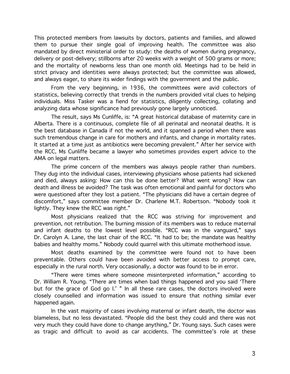This protected members from lawsuits by doctors, patients and families, and allowed them to pursue their single goal of improving health. The committee was also mandated by direct ministerial order to study: the deaths of women during pregnancy, delivery or post-delivery; stillborns after 20 weeks with a weight of 500 grams or more; and the mortality of newborns less than one month old. Meetings had to be held in strict privacy and identities were always protected; but the committee was allowed, and always eager, to share its wider findings with the government and the public.

From the very beginning, in 1936, the committees were avid collectors of statistics, believing correctly that trends in the numbers provided vital clues to helping individuals. Miss Tasker was a fiend for statistics, diligently collecting, collating and analyzing data whose significance had previously gone largely unnoticed.

The result, says Ms Cunliffe, is: "A great historical database of maternity care in Alberta. There is a continuous, complete file of all perinatal and neonatal deaths. It is the best database in Canada if not the world, and it spanned a period when there was such tremendous change in care for mothers and infants, and change in mortality rates. It started at a time just as antibiotics were becoming prevalent." After her service with the RCC, Ms Cunliffe became a lawyer who sometimes provides expert advice to the AMA on legal matters.

The prime concern of the members was always people rather than numbers. They dug into the individual cases, interviewing physicians whose patients had sickened and died, always asking: How can this be done better? What went wrong? How can death and illness be avoided? The task was often emotional and painful for doctors who were questioned after they lost a patient. "The physicians did have a certain degree of discomfort," says committee member Dr. Charlene M.T. Robertson. "Nobody took it lightly. They knew the RCC was right."

Most physicians realized that the RCC was striving for improvement and prevention, not retribution. The burning mission of its members was to reduce maternal and infant deaths to the lowest level possible. "RCC was in the vanguard," says Dr. Carolyn A. Lane, the last chair of the RCC. "It had to be; the mandate was healthy babies and healthy moms." Nobody could quarrel with this ultimate motherhood issue.

Most deaths examined by the committee were found not to have been preventable. Others could have been avoided with better access to prompt care, especially in the rural north. Very occasionally, a doctor was found to be in error.

"There were times where someone misinterpreted information," according to Dr. William R. Young. "There are times when bad things happened and you said 'There but for the grace of God go I.' " In all these rare cases, the doctors involved were closely counselled and information was issued to ensure that nothing similar ever happened again.

In the vast majority of cases involving maternal or infant death, the doctor was blameless, but no less devastated. "People did the best they could and there was not very much they could have done to change anything," Dr. Young says. Such cases were as tragic and difficult to avoid as car accidents. The committee's role at these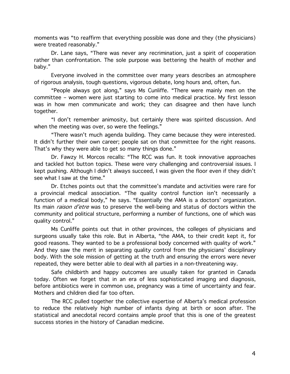moments was "to reaffirm that everything possible was done and they (the physicians) were treated reasonably."

Dr. Lane says, "There was never any recrimination, just a spirit of cooperation rather than confrontation. The sole purpose was bettering the health of mother and baby."

Everyone involved in the committee over many years describes an atmosphere of rigorous analysis, tough questions, vigorous debate, long hours and, often, fun.

"People always got along," says Ms Cunliffe. "There were mainly men on the committee - women were just starting to come into medical practice. My first lesson was in how men communicate and work; they can disagree and then have lunch together.

"I don't remember animosity, but certainly there was spirited discussion. And when the meeting was over, so were the feelings."

"There wasn't much agenda building. They came because they were interested. It didn't further their own career; people sat on that committee for the right reasons. That's why they were able to get so many things done."

Dr. Fawzy H. Morcos recalls: "The RCC was fun. It took innovative approaches and tackled hot button topics. These were very challenging and controversial issues. I kept pushing. Although I didn't always succeed, I was given the floor even if they didn't see what I saw at the time."

Dr. Etches points out that the committee's mandate and activities were rare for a provincial medical association. "The quality control function isn't necessarily a function of a medical body," he says. "Essentially the AMA is a doctors' organization. Its main *raison d'etre* was to preserve the well-being and status of doctors within the community and political structure, performing a number of functions, one of which was quality control."

Ms Cunliffe points out that in other provinces, the colleges of physicians and surgeons usually take this role. But in Alberta, "the AMA, to their credit kept it, for good reasons. They wanted to be a professional body concerned with quality of work." And they saw the merit in separating quality control from the physicians' disciplinary body. With the sole mission of getting at the truth and ensuring the errors were never repeated, they were better able to deal with all parties in a non-threatening way.

Safe childbirth and happy outcomes are usually taken for granted in Canada today. Often we forget that in an era of less sophisticated imaging and diagnosis, before antibiotics were in common use, pregnancy was a time of uncertainty and fear. Mothers and children died far too often.

The RCC pulled together the collective expertise of Alberta's medical profession to reduce the relatively high number of infants dying at birth or soon after. The statistical and anecdotal record contains ample proof that this is one of the greatest success stories in the history of Canadian medicine.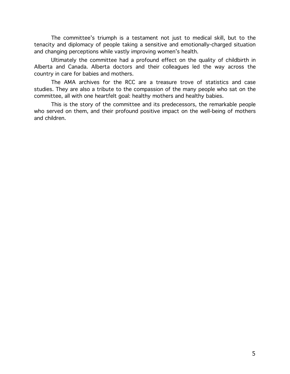The committee's triumph is a testament not just to medical skill, but to the tenacity and diplomacy of people taking a sensitive and emotionally-charged situation and changing perceptions while vastly improving women's health.

Ultimately the committee had a profound effect on the quality of childbirth in Alberta and Canada. Alberta doctors and their colleagues led the way across the country in care for babies and mothers.

The AMA archives for the RCC are a treasure trove of statistics and case studies. They are also a tribute to the compassion of the many people who sat on the committee, all with one heartfelt goal: healthy mothers and healthy babies.

This is the story of the committee and its predecessors, the remarkable people who served on them, and their profound positive impact on the well-being of mothers and children.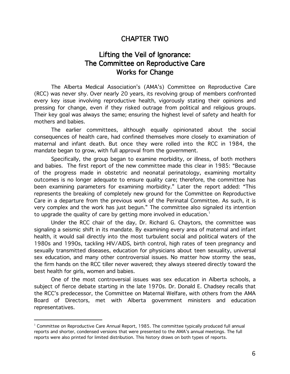#### **CHAPTER TWO**

## Lifting the Veil of Ignorance: The Committee on Reproductive Care **Works for Change**

The Alberta Medical Association's (AMA's) Committee on Reproductive Care (RCC) was never shy. Over nearly 20 years, its revolving group of members confronted every key issue involving reproductive health, vigorously stating their opinions and pressing for change, even if they risked outrage from political and religious groups. Their key goal was always the same; ensuring the highest level of safety and health for mothers and babies.

The earlier committees, although equally opinionated about the social consequences of health care, had confined themselves more closely to examination of maternal and infant death. But once they were rolled into the RCC in 1984, the mandate began to grow, with full approval from the government.

Specifically, the group began to examine morbidity, or illness, of both mothers and babies. The first report of the new committee made this clear in 1985: "Because of the progress made in obstetric and neonatal perinatology, examining mortality outcomes is no longer adequate to ensure quality care; therefore, the committee has been examining parameters for examining morbidity." Later the report added: "This represents the breaking of completely new ground for the Committee on Reproductive Care in a departure from the previous work of the Perinatal Committee. As such, it is very complex and the work has just begun." The committee also signaled its intention to upgrade the quality of care by getting more involved in education.<sup>1</sup>

Under the RCC chair of the day, Dr. Richard G. Chaytors, the committee was signaling a seismic shift in its mandate. By examining every area of maternal and infant health, it would sail directly into the most turbulent social and political waters of the 1980s and 1990s, tackling HIV/AIDS, birth control, high rates of teen pregnancy and sexually transmitted diseases, education for physicians about teen sexuality, universal sex education, and many other controversial issues. No matter how stormy the seas, the firm hands on the RCC tiller never wavered; they always steered directly toward the best health for girls, women and babies.

One of the most controversial issues was sex education in Alberta schools, a subject of fierce debate starting in the late 1970s. Dr. Donald E. Chadsey recalls that the RCC's predecessor, the Committee on Maternal Welfare, with others from the AMA Board of Directors, met with Alberta government ministers and education representatives.

<sup>&</sup>lt;sup>1</sup> Committee on Reproductive Care Annual Report, 1985. The committee typically produced full annual reports and shorter, condensed versions that were presented to the AMA's annual meetings. The full reports were also printed for limited distribution. This history draws on both types of reports.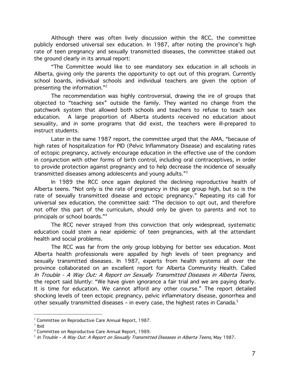Although there was often lively discussion within the RCC, the committee publicly endorsed universal sex education. In 1987, after noting the province's high rate of teen pregnancy and sexually transmitted diseases, the committee staked out the ground clearly in its annual report:

"The Committee would like to see mandatory sex education in all schools in Alberta, giving only the parents the opportunity to opt out of this program. Currently school boards, individual schools and individual teachers are given the option of presenting the information."<sup>2</sup>

The recommendation was highly controversial, drawing the ire of groups that objected to "teaching sex" outside the family. They wanted no change from the patchwork system that allowed both schools and teachers to refuse to teach sex education. A large proportion of Alberta students received no education about sexuality, and in some programs that did exist, the teachers were ill-prepared to instruct students.

Later in the same 1987 report, the committee urged that the AMA, "because of high rates of hospitalization for PID (Pelvic Inflammatory Disease) and escalating rates of ectopic pregnancy, actively encourage education in the effective use of the condom in conjunction with other forms of birth control, including oral contraceptives, in order to provide protection against pregnancy and to help decrease the incidence of sexually transmitted diseases among adolescents and young adults."3

In 1989 the RCC once again deplored the declining reproductive health of Alberta teens. "Not only is the rate of pregnancy in this age group high, but so is the rate of sexually transmitted disease and ectopic pregnancy." Repeating its call for universal sex education, the committee said: "The decision to opt out, and therefore not offer this part of the curriculum, should only be given to parents and not to principals or school boards."4

The RCC never strayed from this conviction that only widespread, systematic education could stem a near epidemic of teen pregnancies, with all the attendant health and social problems.

The RCC was far from the only group lobbying for better sex education. Most Alberta health professionals were appalled by high levels of teen pregnancy and sexually transmitted diseases. In 1987, experts from health systems all over the province collaborated on an excellent report for Alberta Community Health. Called In Trouble - A Way Out: A Report on Sexually Transmitted Diseases in Alberta Teens, the report said bluntly: "We have given ignorance a fair trial and we are paying dearly. It is time for education. We cannot afford any other course." The report detailed shocking levels of teen ectopic pregnancy, pelvic inflammatory disease, gonorrhea and other sexually transmitted diseases - in every case, the highest rates in Canada.<sup>5</sup>

<sup>&</sup>lt;sup>2</sup> Committee on Reproductive Care Annual Report, 1987.

 $3$  lbid

<sup>&</sup>lt;sup>4</sup> Committee on Reproductive Care Annual Report, 1989.

<sup>&</sup>lt;sup>5</sup> In Trouble - A Way Out: A Report on Sexually Transmitted Diseases in Alberta Teens, May 1987.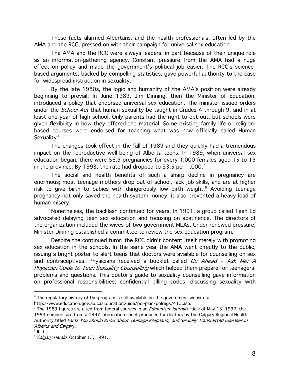These facts alarmed Albertans, and the health professionals, often led by the AMA and the RCC, pressed on with their campaign for universal sex education.

The AMA and the RCC were always leaders, in part because of their unique role as an information-gathering agency. Constant pressure from the AMA had a huge effect on policy and made the government's political job easier. The RCC's sciencebased arguments, backed by compelling statistics, gave powerful authority to the case for widespread instruction in sexuality.

By the late 1980s, the logic and humanity of the AMA's position were already beginning to prevail. In June 1989, Jim Dinning, then the Minister of Education, introduced a policy that endorsed universal sex education. The minister issued orders under the *School Act* that human sexuality be taught in Grades 4 through 9, and in at least one year of high school. Only parents had the right to opt out, but schools were given flexibility in how they offered the material. Some existing family life or religionbased courses were endorsed for teaching what was now officially called Human Sexuality.<sup>6</sup>

The changes took effect in the fall of 1989 and they quickly had a tremendous impact on the reproductive well-being of Alberta teens. In 1989, when universal sex education began, there were 56.9 pregnancies for every 1,000 females aged 15 to 19 in the province. By 1993, the rate had dropped to 33.5 per 1,000.<sup>7</sup>

The social and health benefits of such a sharp decline in pregnancy are enormous; most teenage mothers drop out of school, lack job skills, and are at higher risk to give birth to babies with dangerously low birth weight.<sup>8</sup> Avoiding teenage pregnancy not only saved the health system money, it also prevented a heavy load of human misery.

Nonetheless, the backlash continued for years. In 1991, a group called Teen Ed advocated delaying teen sex education and focusing on abstinence. The directors of the organization included the wives of two government MLAs. Under renewed pressure, Minister Dinning established a committee to review the sex education program.<sup>9</sup>

Despite the continued furor, the RCC didn't content itself merely with promoting sex education in the schools. In the same year the AMA went directly to the public, issuing a bright poster to alert teens that doctors were available for counselling on sex and contraceptives. Physicians received a booklet called Go Ahead - Ask Me: A Physician Guide to Teen Sexuality Counselling which helped them prepare for teenagers' problems and questions. This doctor's guide to sexuality counselling gave information on professional responsibilities, confidential billing codes, discussing sexuality with

 $6$  The regulatory history of the program is still available on the government website at

http://www.education.gov.ab.ca/EducationGuide/pol-plan/polregs/412.asp.

<sup>&</sup>lt;sup>7</sup> The 1989 figures are cited from federal sources in an *Edmonton Journal* article of May 13, 1992; the 1993 numbers are from a 1997 information sheet produced for doctors by the Calgary Regional Health Authority titled Facts You Should Know about Teenage Pregnancy and Sexually Transmitted Diseases in Alberta and Calgary.

 $8$  Ibid

<sup>&</sup>lt;sup>9</sup> Calgary Herald, October 13, 1991.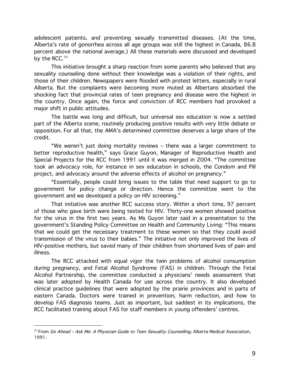adolescent patients, and preventing sexually transmitted diseases. (At the time, Alberta's rate of gonorrhea across all age groups was still the highest in Canada, 86.8 percent above the national average.) All these materials were discussed and developed by the RCC.<sup>10</sup>

This initiative brought a sharp reaction from some parents who believed that any sexuality counseling done without their knowledge was a violation of their rights, and those of their children. Newspapers were flooded with protest letters, especially in rural Alberta. But the complaints were becoming more muted as Albertans absorbed the shocking fact that provincial rates of teen pregnancy and disease were the highest in the country. Once again, the force and conviction of RCC members had provoked a major shift in public attitudes.

The battle was long and difficult, but universal sex education is now a settled part of the Alberta scene, routinely producing positive results with very little debate or opposition. For all that, the AMA's determined committee deserves a large share of the credit.

"We weren't just doing mortality reviews - there was a larger commitment to better reproductive health," says Grace Guyon, Manager of Reproductive Health and Special Projects for the RCC from 1991 until it was merged in 2004. "The committee took an advocacy role, for instance in sex education in schools, the Condom and Pill project, and advocacy around the adverse effects of alcohol on pregnancy."

"Essentially, people could bring issues to the table that need support to go to government for policy change or direction. Hence the committee went to the government and we developed a policy on HIV screening."

That initiative was another RCC success story. Within a short time, 97 percent of those who gave birth were being tested for HIV. Thirty-one women showed positive for the virus in the first two years. As Ms Guyon later said in a presentation to the government's Standing Policy Committee on Health and Community Living: "This means that we could get the necessary treatment to these women so that they could avoid transmission of the virus to their babies." The initiative not only improved the lives of HIV-positive mothers, but saved many of their children from shortened lives of pain and illness.

The RCC attacked with equal vigor the twin problems of alcohol consumption during pregnancy, and Fetal Alcohol Syndrome (FAS) in children. Through the Fetal Alcohol Partnership, the committee conducted a physicians' needs assessment that was later adopted by Health Canada for use across the country. It also developed clinical practice quidelines that were adopted by the prairie provinces and in parts of eastern Canada. Doctors were trained in prevention, harm reduction, and how to develop FAS diagnosis teams. Just as important, but saddest in its implications, the RCC facilitated training about FAS for staff members in young offenders' centres.

<sup>&</sup>lt;sup>10</sup> From Go Ahead - Ask Me: A Physician Guide to Teen Sexuality Counselling, Alberta Medical Association, 1991.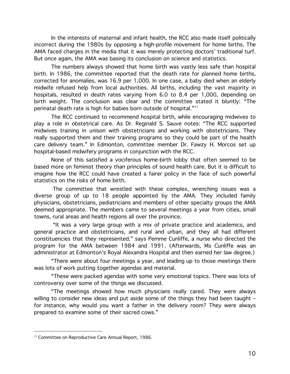In the interests of maternal and infant health, the RCC also made itself politically incorrect during the 1980s by opposing a high-profile movement for home births. The AMA faced charges in the media that it was merely protecting doctors' traditional turf. But once again, the AMA was basing its conclusion on science and statistics.

The numbers always showed that home birth was vastly less safe than hospital birth. In 1986, the committee reported that the death rate for planned home births, corrected for anomalies, was 16.9 per 1,000. In one case, a baby died when an elderly midwife refused help from local authorities. All births, including the vast majority in hospitals, resulted in death rates varying from 6.0 to 8.4 per 1,000, depending on birth weight. The conclusion was clear and the committee stated it bluntly: "The perinatal death rate is high for babies born outside of hospital."<sup>11</sup>

The RCC continued to recommend hospital birth, while encouraging midwives to play a role in obstetrical care. As Dr. Reginald S. Sauve notes: "The RCC supported midwives training in unison with obstetricians and working with obstetricians. They really supported them and their training programs so they could be part of the health care delivery team." In Edmonton, committee member Dr. Fawzy H. Morcos set up hospital-based midwifery programs in conjunction with the RCC.

None of this satisfied a vociferous home-birth lobby that often seemed to be based more on feminist theory than principles of sound health care. But it is difficult to imagine how the RCC could have created a fairer policy in the face of such powerful statistics on the risks of home birth.

The committee that wrestled with these complex, wrenching issues was a diverse group of up to 18 people appointed by the AMA. They included family physicians, obstetricians, pediatricians and members of other specialty groups the AMA deemed appropriate. The members came to several meetings a year from cities, small towns, rural areas and health regions all over the province.

"It was a very large group with a mix of private practice and academics, and general practice and obstetricians, and rural and urban, and they all had different constituencies that they represented," says Pemme Cunliffe, a nurse who directed the program for the AMA between 1984 and 1991. (Afterwards, Ms Cunliffe was an administrator at Edmonton's Royal Alexandra Hospital and then earned her law degree.)

"There were about four meetings a year, and leading up to those meetings there was lots of work putting together agendas and material.

"These were packed agendas with some very emotional topics. There was lots of controversy over some of the things we discussed.

"The meetings showed how much physicians really cared. They were always willing to consider new ideas and put aside some of the things they had been taught for instance, why would you want a father in the delivery room? They were always prepared to examine some of their sacred cows."

<sup>&</sup>lt;sup>11</sup> Committee on Reproductive Care Annual Report, 1986.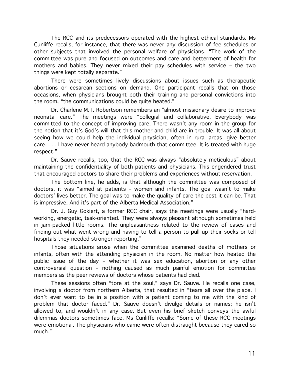The RCC and its predecessors operated with the highest ethical standards. Ms Cunliffe recalls, for instance, that there was never any discussion of fee schedules or other subjects that involved the personal welfare of physicians. "The work of the committee was pure and focused on outcomes and care and betterment of health for mothers and babies. They never mixed their pay schedules with service - the two things were kept totally separate."

There were sometimes lively discussions about issues such as therapeutic abortions or cesarean sections on demand. One participant recalls that on those occasions, when physicians brought both their training and personal convictions into the room, "the communications could be quite heated."

Dr. Charlene M.T. Robertson remembers an "almost missionary desire to improve neonatal care." The meetings were "collegial and collaborative. Everybody was committed to the concept of improving care. There wasn't any room in the group for the notion that it's God's will that this mother and child are in trouble. It was all about seeing how we could help the individual physician, often in rural areas, give better care.... I have never heard anybody badmouth that committee. It is treated with huge respect."

Dr. Sauve recalls, too, that the RCC was always "absolutely meticulous" about maintaining the confidentiality of both patients and physicians. This engendered trust that encouraged doctors to share their problems and experiences without reservation.

The bottom line, he adds, is that although the committee was composed of doctors, it was "aimed at patients - women and infants. The goal wasn't to make doctors' lives better. The goal was to make the quality of care the best it can be. That is impressive. And it's part of the Alberta Medical Association."

Dr. J. Guy Gokiert, a former RCC chair, says the meetings were usually "hardworking, energetic, task-oriented. They were always pleasant although sometimes held in jam-packed little rooms. The unpleasantness related to the review of cases and finding out what went wrong and having to tell a person to pull up their socks or tell hospitals they needed stronger reporting."

Those situations arose when the committee examined deaths of mothers or infants, often with the attending physician in the room. No matter how heated the public issue of the day - whether it was sex education, abortion or any other controversial question - nothing caused as much painful emotion for committee members as the peer reviews of doctors whose patients had died.

These sessions often "tore at the soul," says Dr. Sauve. He recalls one case, involving a doctor from northern Alberta, that resulted in "tears all over the place. I don't ever want to be in a position with a patient coming to me with the kind of problem that doctor faced." Dr. Sauve doesn't divulge details or names; he isn't allowed to, and wouldn't in any case. But even his brief sketch conveys the awful dilemmas doctors sometimes face. Ms Cunliffe recalls: "Some of these RCC meetings were emotional. The physicians who came were often distraught because they cared so much."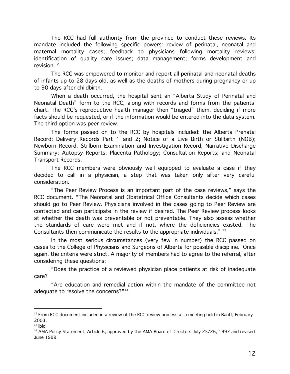The RCC had full authority from the province to conduct these reviews. Its mandate included the following specific powers: review of perinatal, neonatal and maternal mortality cases; feedback to physicians following mortality reviews; identification of quality care issues; data management; forms development and revision. $12$ 

The RCC was empowered to monitor and report all perinatal and neonatal deaths of infants up to 28 days old, as well as the deaths of mothers during pregnancy or up to 90 days after childbirth.

When a death occurred, the hospital sent an "Alberta Study of Perinatal and Neonatal Death" form to the RCC, along with records and forms from the patients' chart. The RCC's reproductive health manager then "triaged" them, deciding if more facts should be requested, or if the information would be entered into the data system. The third option was peer review.

The forms passed on to the RCC by hospitals included: the Alberta Prenatal Record; Delivery Records Part 1 and 2; Notice of a Live Birth or Stillbirth (NOB); Newborn Record, Stillborn Examination and Investigation Record, Narrative Discharge Summary; Autopsy Reports; Placenta Pathology; Consultation Reports; and Neonatal **Transport Records.** 

The RCC members were obviously well equipped to evaluate a case if they decided to call in a physician, a step that was taken only after very careful consideration.

"The Peer Review Process is an important part of the case reviews," says the RCC document. "The Neonatal and Obstetrical Office Consultants decide which cases should go to Peer Review. Physicians involved in the cases going to Peer Review are contacted and can participate in the review if desired. The Peer Review process looks at whether the death was preventable or not preventable. They also assess whether the standards of care were met and if not, where the deficiencies existed. The Consultants then communicate the results to the appropriate individuals." 13

In the most serious circumstances (very few in number) the RCC passed on cases to the College of Physicians and Surgeons of Alberta for possible discipline. Once again, the criteria were strict. A majority of members had to agree to the referral, after considering these questions:

"Does the practice of a reviewed physician place patients at risk of inadequate care?

"Are education and remedial action within the mandate of the committee not adequate to resolve the concerns?"<sup>14</sup>

 $12$  From RCC document included in a review of the RCC review process at a meeting held in Banff, February 2003.

 $13$  lbid

<sup>&</sup>lt;sup>14</sup> AMA Policy Statement, Article 6, approved by the AMA Board of Directors July 25/26, 1997 and revised June 1999.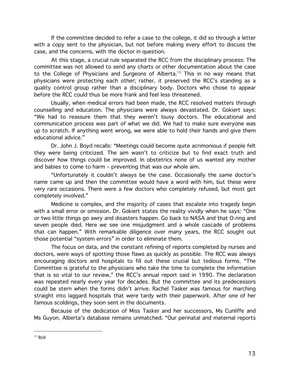If the committee decided to refer a case to the college, it did so through a letter with a copy sent to the physician, but not before making every effort to discuss the case, and the concerns, with the doctor in question.

At this stage, a crucial rule separated the RCC from the disciplinary process: The committee was not allowed to send any charts or other documentation about the case to the College of Physicians and Surgeons of Alberta.<sup>15</sup> This in no way means that physicians were protecting each other; rather, it preserved the RCC's standing as a quality control group rather than a disciplinary body. Doctors who chose to appear before the RCC could thus be more frank and feel less threatened.

Usually, when medical errors had been made, the RCC resolved matters through counselling and education. The physicians were always devastated. Dr. Gokiert says: "We had to reassure them that they weren't lousy doctors. The educational and communication process was part of what we did. We had to make sure everyone was up to scratch. If anything went wrong, we were able to hold their hands and give them educational advice."

Dr. John J. Boyd recalls: "Meetings could become quite acrimonious if people felt they were being criticized. The aim wasn't to criticize but to find exact truth and discover how things could be improved. In obstetrics none of us wanted any mother and babies to come to harm - preventing that was our whole aim.

"Unfortunately it couldn't always be the case. Occasionally the same doctor's name came up and then the committee would have a word with him, but these were very rare occasions. There were a few doctors who completely refused, but most got completely involved."

Medicine is complex, and the majority of cases that escalate into tragedy begin with a small error or omission. Dr. Gokiert states the reality vividly when he says: "One or two little things go awry and disasters happen. Go back to NASA and that O-ring and seven people died. Here we see one misjudgment and a whole cascade of problems that can happen." With remarkable diligence over many years, the RCC sought out those potential "system errors" in order to eliminate them.

The focus on data, and the constant refining of reports completed by nurses and doctors, were ways of spotting those flaws as quickly as possible. The RCC was always encouraging doctors and hospitals to fill out these crucial but tedious forms. "The Committee is grateful to the physicians who take the time to complete the information that is so vital to our review," the RCC's annual report said in 1990. The declaration was repeated nearly every year for decades. But the committee and its predecessors could be stern when the forms didn't arrive. Rachel Tasker was famous for marching straight into laggard hospitals that were tardy with their paperwork. After one of her famous scoldings, they soon sent in the documents.

Because of the dedication of Miss Tasker and her successors, Ms Cunliffe and Ms Guyon, Alberta's database remains unmatched. "Our perinatal and maternal reports

 $15$  lbid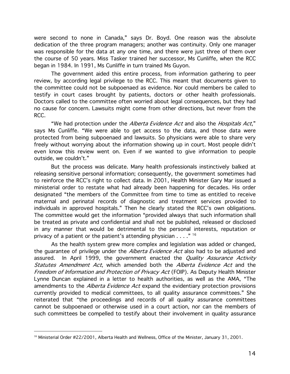were second to none in Canada," says Dr. Boyd. One reason was the absolute dedication of the three program managers; another was continuity. Only one manager was responsible for the data at any one time, and there were just three of them over the course of 50 years. Miss Tasker trained her successor, Ms Cunliffe, when the RCC began in 1984. In 1991, Ms Cunliffe in turn trained Ms Guyon.

The government aided this entire process, from information gathering to peer review, by according legal privilege to the RCC. This meant that documents given to the committee could not be subpoenaed as evidence. Nor could members be called to testify in court cases brought by patients, doctors or other health professionals. Doctors called to the committee often worried about legal consequences, but they had no cause for concern. Lawsuits might come from other directions, but never from the RCC.

"We had protection under the Alberta Evidence Act and also the Hospitals Act," says Ms Cunliffe. "We were able to get access to the data, and those data were protected from being subpoenaed and lawsuits. So physicians were able to share very freely without worrying about the information showing up in court. Most people didn't even know this review went on. Even if we wanted to give information to people outside, we couldn't."

But the process was delicate. Many health professionals instinctively balked at releasing sensitive personal information; consequently, the government sometimes had to reinforce the RCC's right to collect data. In 2001, Health Minister Gary Mar issued a ministerial order to restate what had already been happening for decades. His order designated "the members of the Committee from time to time as entitled to receive maternal and perinatal records of diagnostic and treatment services provided to individuals in approved hospitals." Then he clearly stated the RCC's own obligations. The committee would get the information "provided always that such information shall be treated as private and confidential and shall not be published, released or disclosed in any manner that would be detrimental to the personal interests, reputation or privacy of a patient or the patient's attending physician  $\ldots$ ."<sup>16</sup>

As the health system grew more complex and legislation was added or changed, the guarantee of privilege under the *Alberta Evidence Act* also had to be adjusted and assured. In April 1999, the government enacted the Quality Assurance Activity Statutes Amendment Act, which amended both the Alberta Evidence Act and the Freedom of Information and Protection of Privacy Act (FOIP). As Deputy Health Minister Lynne Duncan explained in a letter to health authorities, as well as the AMA, "The amendments to the *Alberta Evidence Act* expand the evidentiary protection provisions currently provided to medical committees, to all quality assurance committees." She reiterated that "the proceedings and records of all quality assurance committees cannot be subpoenaed or otherwise used in a court action, nor can the members of such committees be compelled to testify about their involvement in quality assurance

 $16$  Ministerial Order #22/2001, Alberta Health and Wellness, Office of the Minister, January 31, 2001.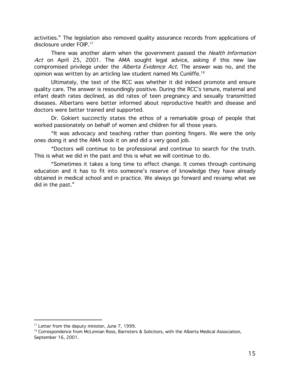activities." The legislation also removed quality assurance records from applications of disclosure under FOIP.<sup>17</sup>

There was another alarm when the government passed the *Health Information* Act on April 25, 2001. The AMA sought legal advice, asking if this new law compromised privilege under the Alberta Evidence Act. The answer was no, and the opinion was written by an articling law student named Ms Cunliffe.<sup>18</sup>

Ultimately, the test of the RCC was whether it did indeed promote and ensure quality care. The answer is resoundingly positive. During the RCC's tenure, maternal and infant death rates declined, as did rates of teen pregnancy and sexually transmitted diseases. Albertans were better informed about reproductive health and disease and doctors were better trained and supported.

Dr. Gokiert succinctly states the ethos of a remarkable group of people that worked passionately on behalf of women and children for all those years.

"It was advocacy and teaching rather than pointing fingers. We were the only ones doing it and the AMA took it on and did a very good job.

"Doctors will continue to be professional and continue to search for the truth. This is what we did in the past and this is what we will continue to do.

"Sometimes it takes a long time to effect change. It comes through continuing education and it has to fit into someone's reserve of knowledge they have already obtained in medical school and in practice. We always go forward and revamp what we did in the past."

<sup>&</sup>lt;sup>17</sup> Letter from the deputy minister, June 7, 1999.

<sup>&</sup>lt;sup>18</sup> Correspondence from McLennan Ross, Barristers & Solicitors, with the Alberta Medical Association, September 16, 2001.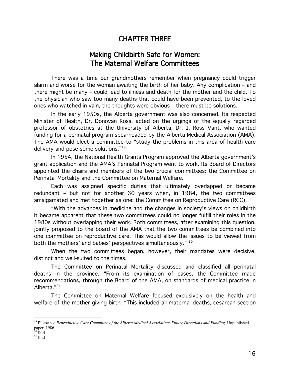### **CHAPTER THREE**

## **Making Childbirth Safe for Women:** The Maternal Welfare Committees

There was a time our grandmothers remember when pregnancy could trigger alarm and worse for the woman awaiting the birth of her baby. Any complication - and there might be many - could lead to illness and death for the mother and the child. To the physician who saw too many deaths that could have been prevented, to the loved ones who watched in vain, the thoughts were obvious - there must be solutions.

In the early 1950s, the Alberta government was also concerned. Its respected Minister of Health, Dr. Donovan Ross, acted on the urgings of the equally regarded professor of obstetrics at the University of Alberta, Dr. J. Ross Vant, who wanted funding for a perinatal program spearheaded by the Alberta Medical Association (AMA). The AMA would elect a committee to "study the problems in this area of health care delivery and pose some solutions."<sup>19</sup>

In 1954, the National Health Grants Program approved the Alberta government's grant application and the AMA's Perinatal Program went to work. Its Board of Directors appointed the chairs and members of the two crucial committees: the Committee on Perinatal Mortality and the Committee on Maternal Welfare.

Each was assigned specific duties that ultimately overlapped or became redundant - but not for another 30 years when, in 1984, the two committees amalgamated and met together as one: the Committee on Reproductive Care (RCC).

"With the advances in medicine and the changes in society's views on childbirth it became apparent that these two committees could no longer fulfill their roles in the 1980s without overlapping their work. Both committees, after examining this question, jointly proposed to the board of the AMA that the two committees be combined into one committee on reproductive care. This would allow the issues to be viewed from both the mothers' and babies' perspectives simultaneously." 20

When the two committees began, however, their mandates were decisive, distinct and well-suited to the times.

The Committee on Perinatal Mortality discussed and classified all perinatal deaths in the province. "From its examination of cases, the Committee made recommendations, through the Board of the AMA, on standards of medical practice in Alberta."<sup>21</sup>

The Committee on Maternal Welfare focused exclusively on the health and welfare of the mother giving birth. "This included all maternal deaths, cesarean section

<sup>&</sup>lt;sup>19</sup> Please see Reproductive Care Committee of the Alberta Medical Association: Future Directions and Funding. Unpublished paper, 1986.<br><sup>20</sup> Ibid

 $21$  Ibid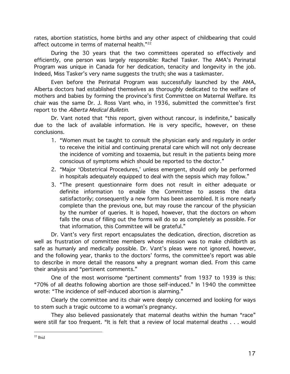rates, abortion statistics, home births and any other aspect of childbearing that could affect outcome in terms of maternal health."<sup>22</sup>

During the 30 years that the two committees operated so effectively and efficiently, one person was largely responsible: Rachel Tasker. The AMA's Perinatal Program was unique in Canada for her dedication, tenacity and longevity in the job. Indeed, Miss Tasker's very name suggests the truth; she was a taskmaster.

Even before the Perinatal Program was successfully launched by the AMA, Alberta doctors had established themselves as thoroughly dedicated to the welfare of mothers and babies by forming the province's first Committee on Maternal Welfare. Its chair was the same Dr. J. Ross Vant who, in 1936, submitted the committee's first report to the Alberta Medical Bulletin.

Dr. Vant noted that "this report, given without rancour, is indefinite," basically due to the lack of available information. He is very specific, however, on these conclusions.

- 1. "Women must be taught to consult the physician early and regularly in order to receive the initial and continuing prenatal care which will not only decrease the incidence of vomiting and toxaemia, but result in the patients being more conscious of symptoms which should be reported to the doctor."
- 2. "Major 'Obstetrical Procedures,' unless emergent, should only be performed in hospitals adequately equipped to deal with the sepsis which may follow."
- 3. "The present questionnaire form does not result in either adequate or definite information to enable the Committee to assess the data satisfactorily; consequently a new form has been assembled. It is more nearly complete than the previous one, but may rouse the rancour of the physician by the number of queries. It is hoped, however, that the doctors on whom falls the onus of filling out the forms will do so as completely as possible. For that information, this Committee will be grateful."

Dr. Vant's very first report encapsulates the dedication, direction, discretion as well as frustration of committee members whose mission was to make childbirth as safe as humanly and medically possible. Dr. Vant's pleas were not ignored, however, and the following year, thanks to the doctors' forms, the committee's report was able to describe in more detail the reasons why a pregnant woman died. From this came their analysis and "pertinent comments."

One of the most worrisome "pertinent comments" from 1937 to 1939 is this: "70% of all deaths following abortion are those self-induced." In 1940 the committee wrote: "The incidence of self-induced abortion is alarming."

Clearly the committee and its chair were deeply concerned and looking for ways to stem such a tragic outcome to a woman's pregnancy.

They also believed passionately that maternal deaths within the human "race" were still far too frequent. "It is felt that a review of local maternal deaths . . . would

 $22$  Ibid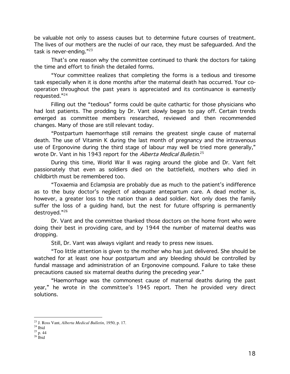be valuable not only to assess causes but to determine future courses of treatment. The lives of our mothers are the nuclei of our race, they must be safeguarded. And the task is never-ending."23

That's one reason why the committee continued to thank the doctors for taking the time and effort to finish the detailed forms.

"Your committee realizes that completing the forms is a tedious and tiresome task especially when it is done months after the maternal death has occurred. Your cooperation throughout the past years is appreciated and its continuance is earnestly requested."<sup>24</sup>

Filling out the "tedious" forms could be quite cathartic for those physicians who had lost patients. The prodding by Dr. Vant slowly began to pay off. Certain trends emerged as committee members researched, reviewed and then recommended changes. Many of those are still relevant today.

"Postpartum haemorrhage still remains the greatest single cause of maternal death. The use of Vitamin K during the last month of pregnancy and the intravenous use of Ergonovine during the third stage of labour may well be tried more generally," wrote Dr. Vant in his 1943 report for the Alberta Medical Bulletin.<sup>25</sup>

During this time, World War II was raging around the globe and Dr. Vant felt passionately that even as soldiers died on the battlefield, mothers who died in childbirth must be remembered too.

"Toxaemia and Eclampsia are probably due as much to the patient's indifference as to the busy doctor's neglect of adequate antepartum care. A dead mother is, however, a greater loss to the nation than a dead soldier. Not only does the family suffer the loss of a quiding hand, but the nest for future offspring is permanently destroved."26

Dr. Vant and the committee thanked those doctors on the home front who were doing their best in providing care, and by 1944 the number of maternal deaths was dropping.

Still, Dr. Vant was always vigilant and ready to press new issues.

"Too little attention is given to the mother who has just delivered. She should be watched for at least one hour postpartum and any bleeding should be controlled by fundal massage and administration of an Ergonovine compound. Failure to take these precautions caused six maternal deaths during the preceding year."

"Haemorrhage was the commonest cause of maternal deaths during the past year," he wrote in the committee's 1945 report. Then he provided very direct solutions.

<sup>&</sup>lt;sup>23</sup> J. Ross Vant, Alberta Medical Bulletin, 1950, p. 17.

 $^{\rm 24}$  Ibid

 $25$  p. 44

 $26$  Ibid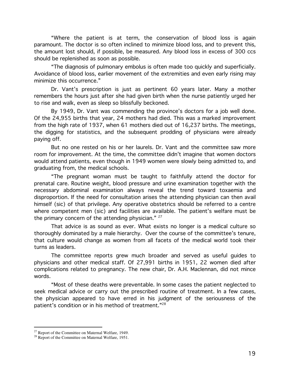"Where the patient is at term, the conservation of blood loss is again paramount. The doctor is so often inclined to minimize blood loss, and to prevent this, the amount lost should, if possible, be measured. Any blood loss in excess of 300 ccs should be replenished as soon as possible.

"The diagnosis of pulmonary embolus is often made too quickly and superficially. Avoidance of blood loss, earlier movement of the extremities and even early rising may minimize this occurrence."

Dr. Vant's prescription is just as pertinent 60 years later. Many a mother remembers the hours just after she had given birth when the nurse patiently urged her to rise and walk, even as sleep so blissfully beckoned.

By 1949, Dr. Vant was commending the province's doctors for a job well done. Of the 24,955 births that year, 24 mothers had died. This was a marked improvement from the high rate of 1937, when 61 mothers died out of 16,237 births. The meetings, the digging for statistics, and the subsequent prodding of physicians were already paying off.

But no one rested on his or her laurels. Dr. Vant and the committee saw more room for improvement. At the time, the committee didn't imagine that women doctors would attend patients, even though in 1949 women were slowly being admitted to, and graduating from, the medical schools.

"The pregnant woman must be taught to faithfully attend the doctor for prenatal care. Routine weight, blood pressure and urine examination together with the necessary abdominal examination always reveal the trend toward toxaemia and disproportion. If the need for consultation arises the attending physician can then avail himself (sic) of that privilege. Any operative obstetrics should be referred to a centre where competent men (sic) and facilities are available. The patient's welfare must be the primary concern of the attending physician." 27

That advice is as sound as ever. What exists no longer is a medical culture so thoroughly dominated by a male hierarchy. Over the course of the committee's tenure, that culture would change as women from all facets of the medical world took their turns as leaders.

The committee reports grew much broader and served as useful guides to physicians and other medical staff. Of 27,991 births in 1951, 22 women died after complications related to pregnancy. The new chair, Dr. A.H. Maclennan, did not mince words.

"Most of these deaths were preventable. In some cases the patient neglected to seek medical advice or carry out the prescribed routine of treatment. In a few cases, the physician appeared to have erred in his judgment of the seriousness of the patient's condition or in his method of treatment."<sup>28</sup>

<sup>&</sup>lt;sup>27</sup> Report of the Committee on Maternal Welfare, 1949.

<sup>&</sup>lt;sup>28</sup> Report of the Committee on Maternal Welfare, 1951.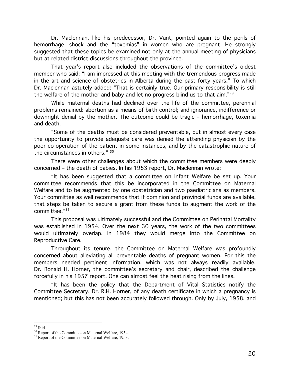Dr. Maclennan, like his predecessor, Dr. Vant, pointed again to the perils of hemorrhage, shock and the "toxemias" in women who are pregnant. He strongly suggested that these topics be examined not only at the annual meeting of physicians but at related district discussions throughout the province.

That year's report also included the observations of the committee's oldest member who said: "I am impressed at this meeting with the tremendous progress made in the art and science of obstetrics in Alberta during the past forty years." To which Dr. Maclennan astutely added: "That is certainly true. Our primary responsibility is still the welfare of the mother and baby and let no progress blind us to that aim."<sup>29</sup>

While maternal deaths had declined over the life of the committee, perennial problems remained: abortion as a means of birth control; and ignorance, indifference or downright denial by the mother. The outcome could be tragic - hemorrhage, toxemia and death.

"Some of the deaths must be considered preventable, but in almost every case the opportunity to provide adequate care was denied the attending physician by the poor co-operation of the patient in some instances, and by the catastrophic nature of the circumstances in others." 30

There were other challenges about which the committee members were deeply concerned – the death of babies. In his 1953 report, Dr. Maclennan wrote:

"It has been suggested that a committee on Infant Welfare be set up. Your committee recommends that this be incorporated in the Committee on Maternal Welfare and to be augmented by one obstetrician and two paediatricians as members. Your committee as well recommends that if dominion and provincial funds are available, that steps be taken to secure a grant from these funds to augment the work of the committee. $"31$ 

This proposal was ultimately successful and the Committee on Perinatal Mortality was established in 1954. Over the next 30 years, the work of the two committees would ultimately overlap. In 1984 they would merge into the Committee on Reproductive Care.

Throughout its tenure, the Committee on Maternal Welfare was profoundly concerned about alleviating all preventable deaths of pregnant women. For this the members needed pertinent information, which was not always readily available. Dr. Ronald H. Horner, the committee's secretary and chair, described the challenge forcefully in his 1957 report. One can almost feel the heat rising from the lines.

"It has been the policy that the Department of Vital Statistics notify the Committee Secretary, Dr. R.H. Horner, of any death certificate in which a pregnancy is mentioned; but this has not been accurately followed through. Only by July, 1958, and

 $29$  Ibid

<sup>&</sup>lt;sup>30</sup> Report of the Committee on Maternal Welfare, 1954.

<sup>&</sup>lt;sup>31</sup> Report of the Committee on Maternal Welfare, 1953.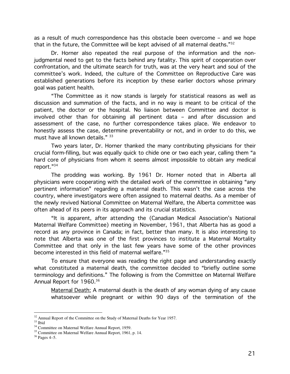as a result of much correspondence has this obstacle been overcome – and we hope that in the future, the Committee will be kept advised of all maternal deaths."32

Dr. Horner also repeated the real purpose of the information and the nonjudgmental need to get to the facts behind any fatality. This spirit of cooperation over confrontation, and the ultimate search for truth, was at the very heart and soul of the committee's work. Indeed, the culture of the Committee on Reproductive Care was established generations before its inception by these earlier doctors whose primary goal was patient health.

"The Committee as it now stands is largely for statistical reasons as well as discussion and summation of the facts, and in no way is meant to be critical of the patient, the doctor or the hospital. No liaison between Committee and doctor is involved other than for obtaining all pertinent data - and after discussion and assessment of the case, no further correspondence takes place. We endeavor to honestly assess the case, determine preventability or not, and in order to do this, we must have all known details." 33

Two years later, Dr. Horner thanked the many contributing physicians for their crucial form-filling, but was equally quick to chide one or two each year, calling them "a hard core of physicians from whom it seems almost impossible to obtain any medical report. $"^{34}$ 

The prodding was working. By 1961 Dr. Horner noted that in Alberta all physicians were cooperating with the detailed work of the committee in obtaining "any pertinent information" regarding a maternal death. This wasn't the case across the country, where investigators were often assigned to maternal deaths. As a member of the newly revived National Committee on Maternal Welfare, the Alberta committee was often ahead of its peers in its approach and its crucial statistics.

"It is apparent, after attending the (Canadian Medical Association's National Maternal Welfare Committee) meeting in November, 1961, that Alberta has as good a record as any province in Canada; in fact, better than many. It is also interesting to note that Alberta was one of the first provinces to institute a Maternal Mortality Committee and that only in the last few years have some of the other provinces become interested in this field of maternal welfare."35

To ensure that everyone was reading the right page and understanding exactly what constituted a maternal death, the committee decided to "briefly outline some terminology and definitions." The following is from the Committee on Maternal Welfare Annual Report for 1960.<sup>36</sup>

Maternal Death: A maternal death is the death of any woman dying of any cause whatsoever while pregnant or within 90 days of the termination of the

<sup>&</sup>lt;sup>32</sup> Annual Report of the Committee on the Study of Maternal Deaths for Year 1957.

 $^{\rm 33}$  Ibid

<sup>&</sup>lt;sup>34</sup> Committee on Maternal Welfare Annual Report, 1959.

<sup>&</sup>lt;sup>35</sup> Committee on Maternal Welfare Annual Report, 1961, p. 14.

 $36$  Pages 4-5.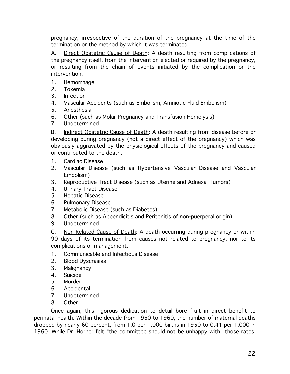pregnancy, irrespective of the duration of the pregnancy at the time of the termination or the method by which it was terminated.

Direct Obstetric Cause of Death: A death resulting from complications of  $A_{-}$ the pregnancy itself, from the intervention elected or required by the pregnancy, or resulting from the chain of events initiated by the complication or the intervention.

- $1<sup>1</sup>$ Hemorrhage
- $2.$ Toxemia
- $3<sub>1</sub>$ Infection
- 4. Vascular Accidents (such as Embolism, Amniotic Fluid Embolism)
- 5. Anesthesia
- 6. Other (such as Molar Pregnancy and Transfusion Hemolysis)
- 7. Undetermined

 $B_{-}$ Indirect Obstetric Cause of Death: A death resulting from disease before or developing during pregnancy (not a direct effect of the pregnancy) which was obviously aggravated by the physiological effects of the pregnancy and caused or contributed to the death.

- Cardiac Disease  $1<sup>1</sup>$
- $2.$ Vascular Disease (such as Hypertensive Vascular Disease and Vascular Embolism)
- $3.$ Reproductive Tract Disease (such as Uterine and Adnexal Tumors)
- 4. Urinary Tract Disease
- **Hepatic Disease**  $5<sub>1</sub>$
- 6. **Pulmonary Disease**
- $7.$ Metabolic Disease (such as Diabetes)
- 8. Other (such as Appendicitis and Peritonitis of non-puerperal origin)
- Undetermined 9.

 $C_{1}$ Non-Related Cause of Death: A death occurring during pregnancy or within 90 days of its termination from causes not related to pregnancy, nor to its complications or management.

- $1_{\cdot}$ Communicable and Infectious Disease
- $2.$ **Blood Dyscrasias**
- $3.$ Malignancy
- $4_{-}$ Suicide
- $5<sub>1</sub>$ Murder
- Accidental 6.
- $7_{\scriptscriptstyle{\ddots}}$ Undetermined
- Other 8.

Once again, this rigorous dedication to detail bore fruit in direct benefit to perinatal health. Within the decade from 1950 to 1960, the number of maternal deaths dropped by nearly 60 percent, from 1.0 per 1,000 births in 1950 to 0.41 per 1,000 in 1960. While Dr. Horner felt "the committee should not be unhappy with" those rates,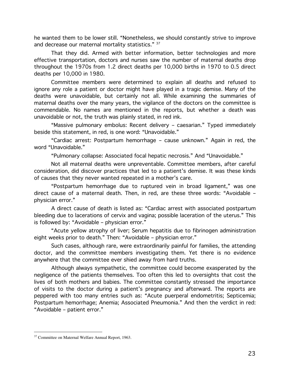he wanted them to be lower still. "Nonetheless, we should constantly strive to improve and decrease our maternal mortality statistics." 37

That they did. Armed with better information, better technologies and more effective transportation, doctors and nurses saw the number of maternal deaths drop throughout the 1970s from 1.2 direct deaths per 10,000 births in 1970 to 0.5 direct deaths per 10,000 in 1980.

Committee members were determined to explain all deaths and refused to ignore any role a patient or doctor might have played in a tragic demise. Many of the deaths were unavoidable, but certainly not all. While examining the summaries of maternal deaths over the many years, the vigilance of the doctors on the committee is commendable. No names are mentioned in the reports, but whether a death was unavoidable or not, the truth was plainly stated, in red ink.

"Massive pulmonary embolus: Recent delivery - caesarian." Typed immediately beside this statement, in red, is one word: "Unavoidable."

"Cardiac arrest: Postpartum hemorrhage - cause unknown." Again in red, the word "Unavoidable."

"Pulmonary collapse: Associated focal hepatic necrosis." And "Unavoidable."

Not all maternal deaths were unpreventable. Committee members, after careful consideration, did discover practices that led to a patient's demise. It was these kinds of causes that they never wanted repeated in a mother's care.

"Postpartum hemorrhage due to ruptured vein in broad ligament," was one direct cause of a maternal death. Then, in red, are these three words: "Avoidable physician error."

A direct cause of death is listed as: "Cardiac arrest with associated postpartum bleeding due to lacerations of cervix and vagina; possible laceration of the uterus." This is followed by: "Avoidable - physician error."

"Acute vellow atrophy of liver; Serum hepatitis due to fibrinogen administration eight weeks prior to death." Then: "Avoidable - physician error."

Such cases, although rare, were extraordinarily painful for families, the attending doctor, and the committee members investigating them. Yet there is no evidence anywhere that the committee ever shied away from hard truths.

Although always sympathetic, the committee could become exasperated by the negligence of the patients themselves. Too often this led to oversights that cost the lives of both mothers and babies. The committee constantly stressed the importance of visits to the doctor during a patient's pregnancy and afterward. The reports are peppered with too many entries such as: "Acute puerperal endometritis; Septicemia; Postpartum hemorrhage; Anemia; Associated Pneumonia." And then the verdict in red: "Avoidable - patient error."

<sup>&</sup>lt;sup>37</sup> Committee on Maternal Welfare Annual Report, 1963.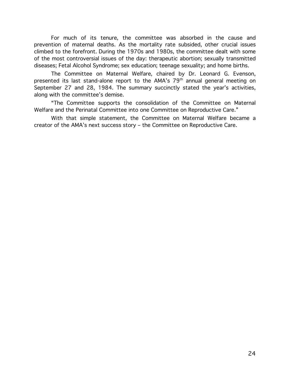For much of its tenure, the committee was absorbed in the cause and prevention of maternal deaths. As the mortality rate subsided, other crucial issues climbed to the forefront. During the 1970s and 1980s, the committee dealt with some of the most controversial issues of the day: therapeutic abortion; sexually transmitted diseases; Fetal Alcohol Syndrome; sex education; teenage sexuality; and home births.

The Committee on Maternal Welfare, chaired by Dr. Leonard G. Evenson, presented its last stand-alone report to the AMA's 79<sup>th</sup> annual general meeting on September 27 and 28, 1984. The summary succinctly stated the year's activities, along with the committee's demise.

"The Committee supports the consolidation of the Committee on Maternal Welfare and the Perinatal Committee into one Committee on Reproductive Care."

With that simple statement, the Committee on Maternal Welfare became a creator of the AMA's next success story - the Committee on Reproductive Care.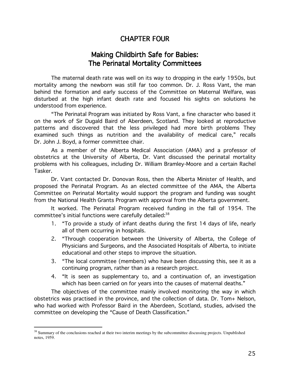## CHAPTER FOUR

## Making Childbirth Safe for Babies: The Perinatal Mortality Committees

The maternal death rate was well on its way to dropping in the early 1950s, but mortality among the newborn was still far too common. Dr. J. Ross Vant, the man behind the formation and early success of the Committee on Maternal Welfare, was disturbed at the high infant death rate and focused his sights on solutions he understood from experience.

"The Perinatal Program was initiated by Ross Vant, a fine character who based it on the work of Sir Dugald Baird of Aberdeen, Scotland. They looked at reproductive patterns and discovered that the less privileged had more birth problems They examined such things as nutrition and the availability of medical care," recalls Dr. John J. Boyd, a former committee chair.

As a member of the Alberta Medical Association (AMA) and a professor of obstetrics at the University of Alberta, Dr. Vant discussed the perinatal mortality problems with his colleagues, including Dr. William Bramley-Moore and a certain Rachel Tasker.

Dr. Vant contacted Dr. Donovan Ross, then the Alberta Minister of Health, and proposed the Perinatal Program. As an elected committee of the AMA, the Alberta Committee on Perinatal Mortality would support the program and funding was sought from the National Health Grants Program with approval from the Alberta government.

It worked. The Perinatal Program received funding in the fall of 1954. The committee's initial functions were carefully detailed: $^{\rm 38}$ 

- 1. "To provide a study of infant deaths during the first 14 days of life, nearly all of them occurring in hospitals.
- 2. "Through cooperation between the University of Alberta, the College of Physicians and Surgeons, and the Associated Hospitals of Alberta, to initiate educational and other steps to improve the situation.
- 3. "The local committee (members) who have been discussing this, see it as a continuing program, rather than as a research project.
- 4. "It is seen as supplementary to, and a continuation of, an investigation which has been carried on for years into the causes of maternal deaths."

The objectives of the committee mainly involved monitoring the way in which obstetrics was practised in the province, and the collection of data. Dr. Tom+ Nelson, who had worked with Professor Baird in the Aberdeen, Scotland, studies, advised the committee on developing the "Cause of Death Classification."

<sup>&</sup>lt;sup>38</sup> Summary of the conclusions reached at their two interim meetings by the subcommittee discussing projects. Unpublished notes, 1959.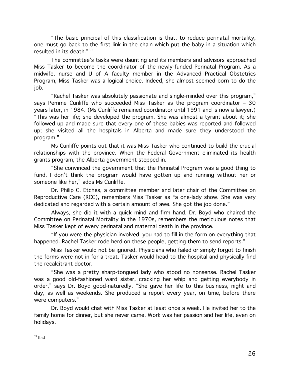"The basic principal of this classification is that, to reduce perinatal mortality, one must go back to the first link in the chain which put the baby in a situation which resulted in its death."39

The committee's tasks were daunting and its members and advisors approached Miss Tasker to become the coordinator of the newly-funded Perinatal Program. As a midwife, nurse and U of A faculty member in the Advanced Practical Obstetrics Program, Miss Tasker was a logical choice. Indeed, she almost seemed born to do the job.

"Rachel Tasker was absolutely passionate and single-minded over this program," says Pemme Cunliffe who succeeded Miss Tasker as the program coordinator - 30 years later, in 1984. (Ms Cunliffe remained coordinator until 1991 and is now a lawyer.) "This was her life; she developed the program. She was almost a tyrant about it; she followed up and made sure that every one of these babies was reported and followed up; she visited all the hospitals in Alberta and made sure they understood the program."

Ms Cunliffe points out that it was Miss Tasker who continued to build the crucial relationships with the province. When the Federal Government eliminated its health grants program, the Alberta government stepped in.

"She convinced the government that the Perinatal Program was a good thing to fund. I don't think the program would have gotten up and running without her or someone like her," adds Ms Cunliffe.

Dr. Philip C. Etches, a committee member and later chair of the Committee on Reproductive Care (RCC), remembers Miss Tasker as "a one-lady show. She was very dedicated and regarded with a certain amount of awe. She got the job done."

Always, she did it with a quick mind and firm hand. Dr. Boyd who chaired the Committee on Perinatal Mortality in the 1970s, remembers the meticulous notes that Miss Tasker kept of every perinatal and maternal death in the province.

"If you were the physician involved, you had to fill in the form on everything that happened. Rachel Tasker rode herd on these people, getting them to send reports."

Miss Tasker would not be ignored. Physicians who failed or simply forgot to finish the forms were not in for a treat. Tasker would head to the hospital and physically find the recalcitrant doctor.

"She was a pretty sharp-tongued lady who stood no nonsense. Rachel Tasker was a good old-fashioned ward sister, cracking her whip and getting everybody in order," says Dr. Boyd good-naturedly. "She gave her life to this business, night and day, as well as weekends. She produced a report every year, on time, before there were computers."

Dr. Boyd would chat with Miss Tasker at least once a week. He invited her to the family home for dinner, but she never came. Work was her passion and her life, even on holidays.

 $39$  Ibid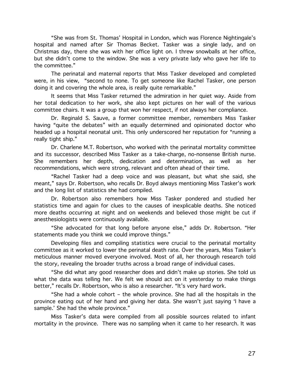"She was from St. Thomas' Hospital in London, which was Florence Nightingale's hospital and named after Sir Thomas Becket. Tasker was a single lady, and on Christmas day, there she was with her office light on. I threw snowballs at her office, but she didn't come to the window. She was a very private lady who gave her life to the committee."

The perinatal and maternal reports that Miss Tasker developed and completed were, in his view, "second to none. To get someone like Rachel Tasker, one person doing it and covering the whole area, is really quite remarkable."

It seems that Miss Tasker returned the admiration in her quiet way. Aside from her total dedication to her work, she also kept pictures on her wall of the various committee chairs. It was a group that won her respect, if not always her compliance.

Dr. Reginald S. Sauve, a former committee member, remembers Miss Tasker having "quite the debates" with an equally determined and opinionated doctor who headed up a hospital neonatal unit. This only underscored her reputation for "running a really tight ship."

Dr. Charlene M.T. Robertson, who worked with the perinatal mortality committee and its successor, described Miss Tasker as a take-charge, no-nonsense British nurse. She remembers her depth, dedication and determination, as well as her recommendations, which were strong, relevant and often ahead of their time.

"Rachel Tasker had a deep voice and was pleasant, but what she said, she meant," says Dr. Robertson, who recalls Dr. Boyd always mentioning Miss Tasker's work and the long list of statistics she had compiled.

Dr. Robertson also remembers how Miss Tasker pondered and studied her statistics time and again for clues to the causes of inexplicable deaths. She noticed more deaths occurring at night and on weekends and believed those might be cut if anesthesiologists were continuously available.

"She advocated for that long before anyone else," adds Dr. Robertson. "Her statements made you think we could improve things."

Developing files and compiling statistics were crucial to the perinatal mortality committee as it worked to lower the perinatal death rate. Over the years, Miss Tasker's meticulous manner moved everyone involved. Most of all, her thorough research told the story, revealing the broader truths across a broad range of individual cases.

"She did what any good researcher does and didn't make up stories. She told us what the data was telling her. We felt we should act on it yesterday to make things better," recalls Dr. Robertson, who is also a researcher. "It's very hard work.

"She had a whole cohort - the whole province. She had all the hospitals in the province eating out of her hand and giving her data. She wasn't just saying 'I have a sample.' She had the whole province."

Miss Tasker's data were compiled from all possible sources related to infant mortality in the province. There was no sampling when it came to her research. It was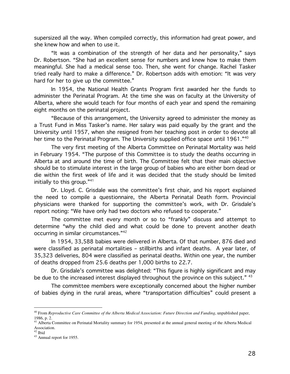supersized all the way. When compiled correctly, this information had great power, and she knew how and when to use it.

"It was a combination of the strength of her data and her personality," says Dr. Robertson. "She had an excellent sense for numbers and knew how to make them meaningful. She had a medical sense too. Then, she went for change. Rachel Tasker tried really hard to make a difference." Dr. Robertson adds with emotion: "It was very hard for her to give up the committee."

In 1954, the National Health Grants Program first awarded her the funds to administer the Perinatal Program. At the time she was on faculty at the University of Alberta, where she would teach for four months of each year and spend the remaining eight months on the perinatal project.

"Because of this arrangement, the University agreed to administer the money as a Trust Fund in Miss Tasker's name. Her salary was paid equally by the grant and the University until 1957, when she resigned from her teaching post in order to devote all her time to the Perinatal Program. The University supplied office space until 1961."<sup>40</sup>

The very first meeting of the Alberta Committee on Perinatal Mortality was held in February 1954. "The purpose of this Committee is to study the deaths occurring in Alberta at and around the time of birth. The Committee felt that their main objective should be to stimulate interest in the large group of babies who are either born dead or die within the first week of life and it was decided that the study should be limited initially to this group."41

Dr. Lloyd. C. Grisdale was the committee's first chair, and his report explained the need to compile a questionnaire, the Alberta Perinatal Death form. Provincial physicians were thanked for supporting the committee's work, with Dr. Grisdale's report noting: "We have only had two doctors who refused to cooperate."

The committee met every month or so to "frankly" discuss and attempt to determine "why the child died and what could be done to prevent another death occurring in similar circumstances."42

In 1954, 33,588 babies were delivered in Alberta. Of that number, 876 died and were classified as perinatal mortalities - stillbirths and infant deaths. A year later, of 35,323 deliveries, 804 were classified as perinatal deaths. Within one year, the number of deaths dropped from 25.6 deaths per 1,000 births to 22.7.

Dr. Grisdale's committee was delighted: "This figure is highly significant and may be due to the increased interest displayed throughout the province on this subject." 43

The committee members were exceptionally concerned about the higher number of babies dying in the rural areas, where "transportation difficulties" could present a

 $40$  From Reproductive Care Committee of the Alberta Medical Association: Future Direction and Funding, unpublished paper, 1986, p. 2.

<sup>&</sup>lt;sup>41</sup> Alberta Committee on Perinatal Mortality summary for 1954, presented at the annual general meeting of the Alberta Medical Association.

 $42$  Ibid

<sup>&</sup>lt;sup>43</sup> Annual report for 1955.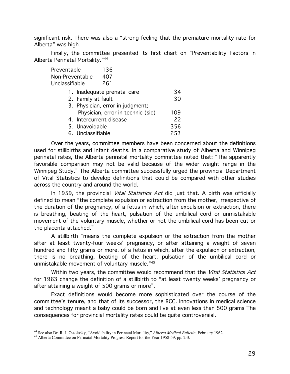significant risk. There was also a "strong feeling that the premature mortality rate for Alberta" was high.

Finally, the committee presented its first chart on "Preventability Factors in Alberta Perinatal Mortality."44

| Preventable                       | 136                         |     |
|-----------------------------------|-----------------------------|-----|
| Non-Preventable                   | 407                         |     |
| Unclassifiable                    | 261                         |     |
|                                   | 1. Inadequate prenatal care | 34  |
| 2. Family at fault                |                             | 30  |
| 3. Physician, error in judgment;  |                             |     |
| Physician, error in technic (sic) |                             | 109 |
| 4. Intercurrent disease           |                             | 22  |
| 5. Unavoidable                    |                             | 356 |
| 6. Unclassifiable                 |                             | 253 |

Over the years, committee members have been concerned about the definitions used for stillbirths and infant deaths. In a comparative study of Alberta and Winnipeg perinatal rates, the Alberta perinatal mortality committee noted that: "The apparently favorable comparison may not be valid because of the wider weight range in the Winnipeg Study." The Alberta committee successfully urged the provincial Department of Vital Statistics to develop definitions that could be compared with other studies across the country and around the world.

In 1959, the provincial *Vital Statistics Act* did just that. A birth was officially defined to mean "the complete expulsion or extraction from the mother, irrespective of the duration of the pregnancy, of a fetus in which, after expulsion or extraction, there is breathing, beating of the heart, pulsation of the umbilical cord or unmistakable movement of the voluntary muscle, whether or not the umbilical cord has been cut or the placenta attached."

A stillbirth "means the complete expulsion or the extraction from the mother after at least twenty-four weeks' pregnancy, or after attaining a weight of seven hundred and fifty grams or more, of a fetus in which, after the expulsion or extraction, there is no breathing, beating of the heart, pulsation of the umbilical cord or unmistakable movement of voluntary muscle."45

Within two years, the committee would recommend that the Vital Statistics Act for 1963 change the definition of a stillbirth to "at least twenty weeks' pregnancy or after attaining a weight of 500 grams or more".

Exact definitions would become more sophisticated over the course of the committee's tenure, and that of its successor, the RCC. Innovations in medical science and technology meant a baby could be born and live at even less than 500 grams The consequences for provincial mortality rates could be quite controversial.

<sup>&</sup>lt;sup>44</sup> See also Dr. R. J. Ostolosky, "Avoidability in Perinatal Mortality," Alberta Medical Bulletin, February 1962.

<sup>&</sup>lt;sup>45</sup> Alberta Committee on Perinatal Mortality Progress Report for the Year 1958-59, pp. 2-3.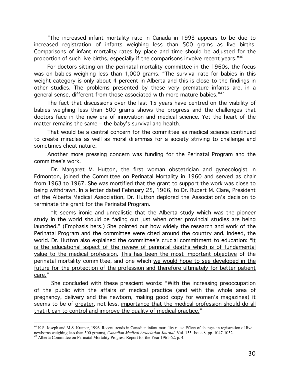"The increased infant mortality rate in Canada in 1993 appears to be due to increased registration of infants weighing less than 500 grams as live births. Comparisons of infant mortality rates by place and time should be adjusted for the proportion of such live births, especially if the comparisons involve recent years." $^{\rm 46}$ 

For doctors sitting on the perinatal mortality committee in the 1960s, the focus was on babies weighing less than 1,000 grams. "The survival rate for babies in this weight category is only about 4 percent in Alberta and this is close to the findings in other studies. The problems presented by these very premature infants are, in a general sense, different from those associated with more mature babies."<sup>47</sup>

The fact that discussions over the last 15 years have centred on the viability of babies weighing less than 500 grams shows the progress and the challenges that doctors face in the new era of innovation and medical science. Yet the heart of the matter remains the same – the baby's survival and health.

That would be a central concern for the committee as medical science continued to create miracles as well as moral dilemmas for a society striving to challenge and sometimes cheat nature.

Another more pressing concern was funding for the Perinatal Program and the committee's work.

Dr. Margaret M. Hutton, the first woman obstetrician and gynecologist in Edmonton, joined the Committee on Perinatal Mortality in 1960 and served as chair from 1963 to 1967. She was mortified that the grant to support the work was close to being withdrawn. In a letter dated February 25, 1966, to Dr. Rupert M. Clare, President of the Alberta Medical Association, Dr. Hutton deplored the Association's decision to terminate the grant for the Perinatal Program.

"It seems ironic and unrealistic that the Alberta study which was the pioneer <u>study in the world</u> should be <u>fading out</u> just when other provincial studies <u>are being</u> <u>launched."</u> (Emphasis hers.) She pointed out how widely the research and work of the Perinatal Program and the committee were cited around the country and, indeed, the world. Dr. Hutton also explained the committee's crucial commitment to education: "I<u>t</u> <u>is the educational aspect of the review of perinatal deaths which is of fundamental</u> <u>value to the medical profession. This has been the most important objective</u> of the perinatal mortality committee, and one which <u>we would hope to see developed in the</u> <u>future for the protection of the profession and therefore ultimately for better patient</u> care."

She concluded with these prescient words: "With the increasing preoccupation of the public with the affairs of medical practice (and with the whole area of pregnancy, delivery and the newborn, making good copy for women's magazines) it seems to be of <u>greater,</u> not less, <u>importance that the medical profession should do all</u> <u>that it can to control and improve the quality of medical practice."</u>

<sup>46</sup> K.S. Joseph and M.S. Kramer, 1996. Recent trends in Canadian infant mortality rates: Effect of changes in registration of live newborns weighing less than 500 g(rams), *Canadian Medical Association Journal*, Vol. 155, Issue 8, pp. 1047-1052.

<sup>47</sup> Alberta Committee on Perinatal Mortality Progress Report for the Year 1961-62, p. 4.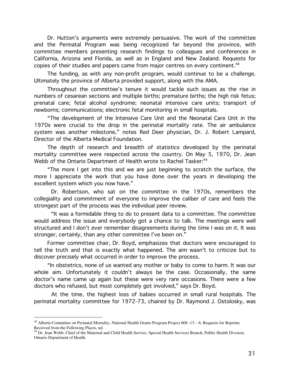Dr. Hutton's arguments were extremely persuasive. The work of the committee and the Perinatal Program was being recognized far beyond the province, with committee members presenting research findings to colleagues and conferences in California, Arizona and Florida, as well as in England and New Zealand. Requests for copies of their studies and papers came from major centres on every continent.<sup>48</sup>

The funding, as with any non-profit program, would continue to be a challenge. Ultimately the province of Alberta provided support, along with the AMA.

Throughout the committee's tenure it would tackle such issues as the rise in numbers of cesarean sections and multiple births; premature births; the high risk fetus; prenatal care; fetal alcohol syndrome; neonatal intensive care units; transport of newborns; communications; electronic fetal monitoring in small hospitals.

"The development of the Intensive Care Unit and the Neonatal Care Unit in the 1970s were crucial to the drop in the perinatal mortality rate. The air ambulance system was another milestone," notes Red Deer physician, Dr. J. Robert Lampard, Director of the Alberta Medical Foundation.

The depth of research and breadth of statistics developed by the perinatal mortality committee were respected across the country. On May 5, 1970, Dr. Jean Webb of the Ontario Department of Health wrote to Rachel Tasker.<sup>49</sup>

"The more I get into this and we are just beginning to scratch the surface, the more I appreciate the work that you have done over the years in developing the excellent system which you now have."

Dr. Robertson, who sat on the committee in the 1970s, remembers the collegiality and commitment of everyone to improve the caliber of care and feels the strongest part of the process was the individual peer review.

"It was a formidable thing to do to present data to a committee. The committee would address the issue and everybody got a chance to talk. The meetings were well structured and I don't ever remember disagreements during the time I was on it. It was stronger, certainly, than any other committee I've been on."

Former committee chair, Dr. Boyd, emphasizes that doctors were encouraged to tell the truth and that is exactly what happened. The aim wasn't to criticize but to discover precisely what occurred in order to improve the process.

"In obstetrics, none of us wanted any mother or baby to come to harm. It was our whole aim. Unfortunately it couldn't always be the case. Occasionally, the same doctor's name came up again but these were very rare occasions. There were a few doctors who refused, but most completely got involved," says Dr. Boyd.

At the time, the highest loss of babies occurred in small rural hospitals. The perinatal mortality committee for 1972-73, chaired by Dr. Raymond J. Ostolosky, was

<sup>&</sup>lt;sup>48</sup> Alberta Committee on Perinatal Mortality, National Health Grants Program Project 608 -13 - 6; Requests for Reprints Received from the Following Places, nd.

<sup>&</sup>lt;sup>49</sup> Dr. Jean Webb, Chief of the Maternal and Child Health Service, Special Health Services Branch, Public Health Division, Ontario Department of Health.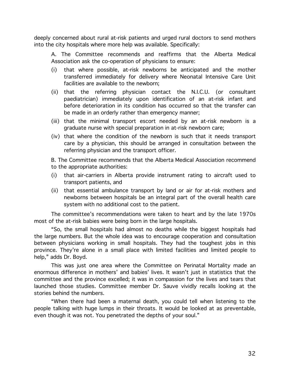deeply concerned about rural at-risk patients and urged rural doctors to send mothers into the city hospitals where more help was available. Specifically:

A. The Committee recommends and reaffirms that the Alberta Medical Association ask the co-operation of physicians to ensure:

- $(i)$ that where possible, at-risk newborns be anticipated and the mother transferred immediately for delivery where Neonatal Intensive Care Unit facilities are available to the newborn;
- (ii) that the referring physician contact the N.I.C.U. (or consultant paediatrician) immediately upon identification of an at-risk infant and before deterioration in its condition has occurred so that the transfer can be made in an orderly rather than emergency manner;
- (iii) that the minimal transport escort needed by an at-risk newborn is a graduate nurse with special preparation in at-risk newborn care;
- (iv) that where the condition of the newborn is such that it needs transport care by a physician, this should be arranged in consultation between the referring physician and the transport officer.

B. The Committee recommends that the Alberta Medical Association recommend to the appropriate authorities:

- (i) that air-carriers in Alberta provide instrument rating to aircraft used to transport patients, and
- (ii) that essential ambulance transport by land or air for at-risk mothers and newborns between hospitals be an integral part of the overall health care system with no additional cost to the patient.

The committee's recommendations were taken to heart and by the late 1970s most of the at-risk babies were being born in the large hospitals.

"So, the small hospitals had almost no deaths while the biggest hospitals had the large numbers. But the whole idea was to encourage cooperation and consultation between physicians working in small hospitals. They had the toughest jobs in this province. They're alone in a small place with limited facilities and limited people to help," adds Dr. Boyd.

This was just one area where the Committee on Perinatal Mortality made an enormous difference in mothers' and babies' lives. It wasn't just in statistics that the committee and the province excelled; it was in compassion for the lives and tears that launched those studies. Committee member Dr. Sauve vividly recalls looking at the stories behind the numbers.

"When there had been a maternal death, you could tell when listening to the people talking with huge lumps in their throats. It would be looked at as preventable, even though it was not. You penetrated the depths of your soul."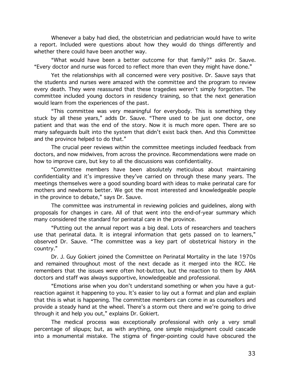Whenever a baby had died, the obstetrician and pediatrician would have to write a report. Included were questions about how they would do things differently and whether there could have been another way.

"What would have been a better outcome for that family?" asks Dr. Sauve. "Every doctor and nurse was forced to reflect more than even they might have done."

Yet the relationships with all concerned were very positive. Dr. Sauve says that the students and nurses were amazed with the committee and the program to review every death. They were reassured that these tragedies weren't simply forgotten. The committee included young doctors in residency training, so that the next generation would learn from the experiences of the past.

"This committee was very meaningful for everybody. This is something they stuck by all these years," adds Dr. Sauve. "There used to be just one doctor, one patient and that was the end of the story. Now it is much more open. There are so many safeguards built into the system that didn't exist back then. And this Committee and the province helped to do that."

The crucial peer reviews within the committee meetings included feedback from doctors, and now midwives, from across the province. Recommendations were made on how to improve care, but key to all the discussions was confidentiality.

"Committee members have been absolutely meticulous about maintaining confidentiality and it's impressive they've carried on through these many years. The meetings themselves were a good sounding board with ideas to make perinatal care for mothers and newborns better. We got the most interested and knowledgeable people in the province to debate," says Dr. Sauve.

The committee was instrumental in reviewing policies and quidelines, along with proposals for changes in care. All of that went into the end-of-year summary which many considered the standard for perinatal care in the province.

"Putting out the annual report was a big deal. Lots of researchers and teachers use that perinatal data. It is integral information that gets passed on to learners," observed Dr. Sauve. "The committee was a key part of obstetrical history in the country."

Dr. J. Guy Gokiert joined the Committee on Perinatal Mortality in the late 1970s and remained throughout most of the next decade as it merged into the RCC. He remembers that the issues were often hot-button, but the reaction to them by AMA doctors and staff was always supportive, knowledgeable and professional.

"Emotions arise when you don't understand something or when you have a gutreaction against it happening to you. It's easier to lay out a format and plan and explain that this is what is happening. The committee members can come in as counsellors and provide a steady hand at the wheel. There's a storm out there and we're going to drive through it and help you out," explains Dr. Gokiert.

The medical process was exceptionally professional with only a very small percentage of slipups; but, as with anything, one simple misjudgment could cascade into a monumental mistake. The stigma of finger-pointing could have obscured the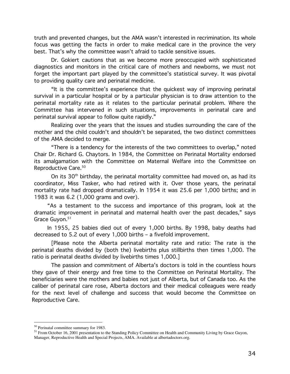truth and prevented changes, but the AMA wasn't interested in recrimination. Its whole focus was getting the facts in order to make medical care in the province the very best. That's why the committee wasn't afraid to tackle sensitive issues.

Dr. Gokiert cautions that as we become more preoccupied with sophisticated diagnostics and monitors in the critical care of mothers and newborns, we must not forget the important part played by the committee's statistical survey. It was pivotal to providing quality care and perinatal medicine.

"It is the committee's experience that the quickest way of improving perinatal survival in a particular hospital or by a particular physician is to draw attention to the perinatal mortality rate as it relates to the particular perinatal problem. Where the Committee has intervened in such situations, improvements in perinatal care and perinatal survival appear to follow quite rapidly."

Realizing over the years that the issues and studies surrounding the care of the mother and the child couldn't and shouldn't be separated, the two distinct committees of the AMA decided to merge.

"There is a tendency for the interests of the two committees to overlap," noted Chair Dr. Richard G. Chaytors. In 1984, the Committee on Perinatal Mortality endorsed its amalgamation with the Committee on Maternal Welfare into the Committee on Reproductive Care.<sup>50</sup>

On its 30<sup>th</sup> birthday, the perinatal mortality committee had moved on, as had its coordinator, Miss Tasker, who had retired with it. Over those years, the perinatal mortality rate had dropped dramatically. In 1954 it was 25.6 per 1,000 births; and in 1983 it was 6.2 (1,000 grams and over).

"As a testament to the success and importance of this program, look at the dramatic improvement in perinatal and maternal health over the past decades," says Grace Guyon.<sup>51</sup>

In 1955, 25 babies died out of every 1,000 births. By 1998, baby deaths had decreased to 5.2 out of every 1,000 births - a fivefold improvement.

[Please note the Alberta perinatal mortality rate and ratio: The rate is the perinatal deaths divided by (both the) livebirths plus stillbirths then times 1,000. The ratio is perinatal deaths divided by livebirths times 1,000.]

The passion and commitment of Alberta's doctors is told in the countless hours they gave of their energy and free time to the Committee on Perinatal Mortality. The beneficiaries were the mothers and babies not just of Alberta, but of Canada too. As the caliber of perinatal care rose, Alberta doctors and their medical colleagues were ready for the next level of challenge and success that would become the Committee on Reproductive Care.

<sup>&</sup>lt;sup>50</sup> Perinatal committee summary for 1983.

<sup>&</sup>lt;sup>51</sup> From October 16, 2001 presentation to the Standing Policy Committee on Health and Community Living by Grace Guyon, Manager, Reproductive Health and Special Projects, AMA. Available at albertadoctors.org.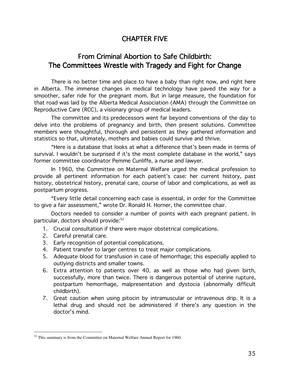## **CHAPTER FIVE**

## From Criminal Abortion to Safe Childbirth: The Committees Wrestle with Tragedy and Fight for Change

There is no better time and place to have a baby than right now, and right here in Alberta. The immense changes in medical technology have paved the way for a smoother, safer ride for the pregnant mom. But in large measure, the foundation for that road was laid by the Alberta Medical Association (AMA) through the Committee on Reproductive Care (RCC), a visionary group of medical leaders.

The committee and its predecessors went far beyond conventions of the day to delve into the problems of pregnancy and birth, then present solutions. Committee members were thoughtful, thorough and persistent as they gathered information and statistics so that, ultimately, mothers and babies could survive and thrive.

"Here is a database that looks at what a difference that's been made in terms of survival. I wouldn't be surprised if it's the most complete database in the world," says former committee coordinator Pemme Cunliffe, a nurse and lawyer.

In 1960, the Committee on Maternal Welfare urged the medical profession to provide all pertinent information for each patient's case: her current history, past history, obstetrical history, prenatal care, course of labor and complications, as well as postpartum progress.

"Every little detail concerning each case is essential, in order for the Committee to give a fair assessment," wrote Dr. Ronald H. Horner, the committee chair.

Doctors needed to consider a number of points with each pregnant patient. In particular, doctors should provide:<sup>52</sup>

- 1. Crucial consultation if there were major obstetrical complications.
- 2. Careful prenatal care.
- 3. Early recognition of potential complications.
- 4. Patient transfer to larger centres to treat major complications.
- 5. Adequate blood for transfusion in case of hemorrhage; this especially applied to outlying districts and smaller towns.
- 6. Extra attention to patients over 40, as well as those who had given birth, successfully, more than twice. There is dangerous potential of uterine rupture, postpartum hemorrhage, malpresentation and dystocia (abnormally difficult childbirth).
- 7. Great caution when using pitocin by intramuscular or intravenous drip. It is a lethal drug and should not be administered if there's any question in the doctor's mind.

 $52$  This summary is from the Committee on Maternal Welfare Annual Report for 1960.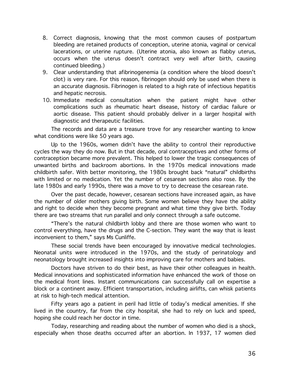- 8. Correct diagnosis, knowing that the most common causes of postpartum bleeding are retained products of conception, uterine atonia, vaginal or cervical lacerations, or uterine rupture. (Uterine atonia, also known as flabby uterus, occurs when the uterus doesn't contract very well after birth, causing continued bleeding.)
- 9. Clear understanding that afibrinogenemia (a condition where the blood doesn't clot) is very rare. For this reason, fibrinogen should only be used when there is an accurate diagnosis. Fibrinogen is related to a high rate of infectious hepatitis and hepatic necrosis.
- 10. Immediate medical consultation when the patient might have other complications such as rheumatic heart disease, history of cardiac failure or aortic disease. This patient should probably deliver in a larger hospital with diagnostic and therapeutic facilities.

The records and data are a treasure trove for any researcher wanting to know what conditions were like 50 years ago.

Up to the 1960s, women didn't have the ability to control their reproductive cycles the way they do now. But in that decade, oral contraceptives and other forms of contraception became more prevalent. This helped to lower the tragic consequences of unwanted births and backroom abortions. In the 1970s medical innovations made childbirth safer. With better monitoring, the 1980s brought back "natural" childbirths with limited or no medication. Yet the number of cesarean sections also rose. By the late 1980s and early 1990s, there was a move to try to decrease the cesarean rate.

Over the past decade, however, cesarean sections have increased again, as have the number of older mothers giving birth. Some women believe they have the ability and right to decide when they become pregnant and what time they give birth. Today there are two streams that run parallel and only connect through a safe outcome.

"There's the natural childbirth lobby and there are those women who want to control everything, have the drugs and the C-section. They want the way that is least inconvenient to them," says Ms Cunliffe.

These social trends have been encouraged by innovative medical technologies. Neonatal units were introduced in the 1970s, and the study of perinatology and neonatology brought increased insights into improving care for mothers and babies.

Doctors have striven to do their best, as have their other colleagues in health. Medical innovations and sophisticated information have enhanced the work of those on the medical front lines. Instant communications can successfully call on expertise a block or a continent away. Efficient transportation, including airlifts, can whisk patients at risk to high-tech medical attention.

Fifty years ago a patient in peril had little of today's medical amenities. If she lived in the country, far from the city hospital, she had to rely on luck and speed, hoping she could reach her doctor in time.

Today, researching and reading about the number of women who died is a shock, especially when those deaths occurred after an abortion. In 1937, 17 women died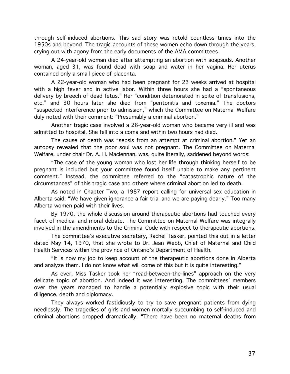through self-induced abortions. This sad story was retold countless times into the 1950s and beyond. The tragic accounts of these women echo down through the years, crying out with agony from the early documents of the AMA committees.

A 24-year-old woman died after attempting an abortion with soapsuds. Another woman, aged 31, was found dead with soap and water in her vagina. Her uterus contained only a small piece of placenta.

A 22-year-old woman who had been pregnant for 23 weeks arrived at hospital with a high fever and in active labor. Within three hours she had a "spontaneous delivery by breech of dead fetus." Her "condition deteriorated in spite of transfusions, etc." and 30 hours later she died from "peritonitis and toxemia." The doctors "suspected interference prior to admission," which the Committee on Maternal Welfare duly noted with their comment: "Presumably a criminal abortion."

Another tragic case involved a 26-year-old woman who became very ill and was admitted to hospital. She fell into a coma and within two hours had died.

The cause of death was "sepsis from an attempt at criminal abortion." Yet an autopsy revealed that the poor soul was not pregnant. The Committee on Maternal Welfare, under chair Dr. A. H. Maclennan, was, quite literally, saddened beyond words:

"The case of the young woman who lost her life through thinking herself to be pregnant is included but your committee found itself unable to make any pertinent comment." Instead, the committee referred to the "catastrophic nature of the circumstances" of this tragic case and others where criminal abortion led to death.

As noted in Chapter Two, a 1987 report calling for universal sex education in Alberta said: "We have given ignorance a fair trial and we are paying dearly." Too many Alberta women paid with their lives.

By 1970, the whole discussion around therapeutic abortions had touched every facet of medical and moral debate. The Committee on Maternal Welfare was integrally involved in the amendments to the Criminal Code with respect to therapeutic abortions.

The committee's executive secretary, Rachel Tasker, pointed this out in a letter dated May 14, 1970, that she wrote to Dr. Jean Webb, Chief of Maternal and Child Health Services within the province of Ontario's Department of Health.

"It is now my job to keep account of the therapeutic abortions done in Alberta and analyze them. I do not know what will come of this but it is quite interesting."

As ever, Miss Tasker took her "read-between-the-lines" approach on the very delicate topic of abortion. And indeed it was interesting. The committees' members over the years managed to handle a potentially explosive topic with their usual diligence, depth and diplomacy.

They always worked fastidiously to try to save pregnant patients from dying needlessly. The tragedies of girls and women mortally succumbing to self-induced and criminal abortions dropped dramatically. "There have been no maternal deaths from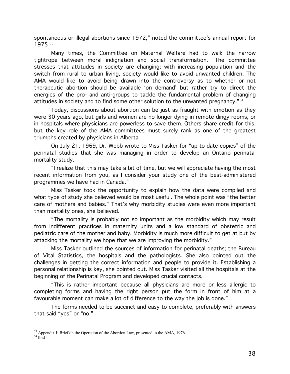spontaneous or illegal abortions since 1972," noted the committee's annual report for 1975.53

Many times, the Committee on Maternal Welfare had to walk the narrow tightrope between moral indignation and social transformation. "The committee stresses that attitudes in society are changing; with increasing population and the switch from rural to urban living, society would like to avoid unwanted children. The AMA would like to avoid being drawn into the controversy as to whether or not therapeutic abortion should be available 'on demand' but rather try to direct the energies of the pro- and anti-groups to tackle the fundamental problem of changing attitudes in society and to find some other solution to the unwanted pregnancy."<sup>54</sup>

Today, discussions about abortion can be just as fraught with emotion as they were 30 years ago, but girls and women are no longer dying in remote dingy rooms, or in hospitals where physicians are powerless to save them. Others share credit for this, but the key role of the AMA committees must surely rank as one of the greatest triumphs created by physicians in Alberta.

On July 21, 1969, Dr. Webb wrote to Miss Tasker for "up to date copies" of the perinatal studies that she was managing in order to develop an Ontario perinatal mortality study.

"I realize that this may take a bit of time, but we will appreciate having the most recent information from you, as I consider your study one of the best-administered programmes we have had in Canada."

Miss Tasker took the opportunity to explain how the data were compiled and what type of study she believed would be most useful. The whole point was "the better care of mothers and babies." That's why morbidity studies were even more important than mortality ones, she believed.

"The mortality is probably not so important as the morbidity which may result from indifferent practices in maternity units and a low standard of obstetric and pediatric care of the mother and baby. Morbidity is much more difficult to get at but by attacking the mortality we hope that we are improving the morbidity."

Miss Tasker outlined the sources of information for perinatal deaths; the Bureau of Vital Statistics, the hospitals and the pathologists. She also pointed out the challenges in getting the correct information and people to provide it. Establishing a personal relationship is key, she pointed out. Miss Tasker visited all the hospitals at the beginning of the Perinatal Program and developed crucial contacts.

"This is rather important because all physicians are more or less allergic to completing forms and having the right person put the form in front of him at a favourable moment can make a lot of difference to the way the job is done."

The forms needed to be succinct and easy to complete, preferably with answers that said "yes" or "no."

<sup>&</sup>lt;sup>53</sup> Appendix I: Brief on the Operation of the Abortion Law, presented to the AMA, 1976.

 $54$  Ibid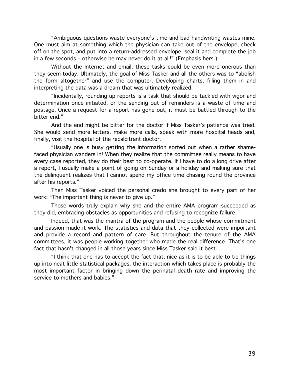"Ambiguous questions waste everyone's time and bad handwriting wastes mine. One must aim at something which the physician can take out of the envelope, check off on the spot, and put into a return-addressed envelope, seal it and complete the job in a few seconds – otherwise he may never do it at all!" (Emphasis hers.)

Without the Internet and email, these tasks could be even more onerous than they seem today. Ultimately, the goal of Miss Tasker and all the others was to "abolish the form altogether" and use the computer. Developing charts, filling them in and interpreting the data was a dream that was ultimately realized.

"Incidentally, rounding up reports is a task that should be tackled with vigor and determination once initiated, or the sending out of reminders is a waste of time and postage. Once a request for a report has gone out, it must be battled through to the bitter end."

And the end might be bitter for the doctor if Miss Tasker's patience was tried. She would send more letters, make more calls, speak with more hospital heads and, finally, visit the hospital of the recalcitrant doctor.

"Usually one is busy getting the information sorted out when a rather shamefaced physician wanders in! When they realize that the committee really means to have every case reported, they do their best to co-operate. If I have to do a long drive after a report, I usually make a point of going on Sunday or a holiday and making sure that the delinguent realizes that I cannot spend my office time chasing round the province after his reports."

Then Miss Tasker voiced the personal credo she brought to every part of her work: "The important thing is never to give up."

Those words truly explain why she and the entire AMA program succeeded as they did, embracing obstacles as opportunities and refusing to recognize failure.

Indeed, that was the mantra of the program and the people whose commitment and passion made it work. The statistics and data that they collected were important and provide a record and pattern of care. But throughout the tenure of the AMA committees, it was people working together who made the real difference. That's one fact that hasn't changed in all those years since Miss Tasker said it best.

"I think that one has to accept the fact that, nice as it is to be able to tie things up into neat little statistical packages, the interaction which takes place is probably the most important factor in bringing down the perinatal death rate and improving the service to mothers and babies."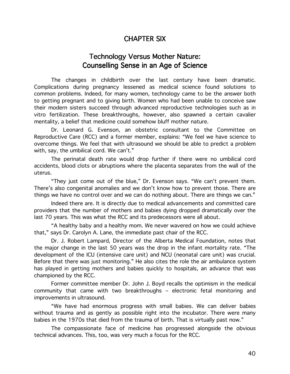## **CHAPTER SIX**

## **Technology Versus Mother Nature:** Counselling Sense in an Age of Science

The changes in childbirth over the last century have been dramatic. Complications during pregnancy lessened as medical science found solutions to common problems. Indeed, for many women, technology came to be the answer both to getting pregnant and to giving birth. Women who had been unable to conceive saw their modern sisters succeed through advanced reproductive technologies such as in vitro fertilization. These breakthroughs, however, also spawned a certain cavalier mentality, a belief that medicine could somehow bluff mother nature.

Dr. Leonard G. Evenson, an obstetric consultant to the Committee on Reproductive Care (RCC) and a former member, explains: "We feel we have science to overcome things. We feel that with ultrasound we should be able to predict a problem with, say, the umbilical cord. We can't."

The perinatal death rate would drop further if there were no umbilical cord accidents, blood clots or abruptions where the placenta separates from the wall of the uterus.

"They just come out of the blue," Dr. Evenson says. "We can't prevent them. There's also congenital anomalies and we don't know how to prevent those. There are things we have no control over and we can do nothing about. There are things we can."

Indeed there are. It is directly due to medical advancements and committed care providers that the number of mothers and babies dying dropped dramatically over the last 70 years. This was what the RCC and its predecessors were all about.

"A healthy baby and a healthy mom. We never wavered on how we could achieve that," says Dr. Carolyn A. Lane, the immediate past chair of the RCC.

Dr. J. Robert Lampard, Director of the Alberta Medical Foundation, notes that the major change in the last 50 years was the drop in the infant mortality rate. "The development of the ICU (intensive care unit) and NCU (neonatal care unit) was crucial. Before that there was just monitoring." He also cites the role the air ambulance system has played in getting mothers and babies quickly to hospitals, an advance that was championed by the RCC.

Former committee member Dr. John J. Boyd recalls the optimism in the medical community that came with two breakthroughs - electronic fetal monitoring and improvements in ultrasound.

"We have had enormous progress with small babies. We can deliver babies without trauma and as gently as possible right into the incubator. There were many babies in the 1970s that died from the trauma of birth. That is virtually past now."

The compassionate face of medicine has progressed alongside the obvious technical advances. This, too, was very much a focus for the RCC.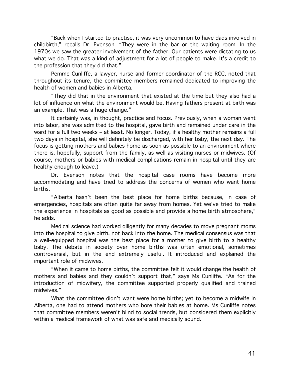"Back when I started to practise, it was very uncommon to have dads involved in childbirth," recalls Dr. Evenson. "They were in the bar or the waiting room. In the 1970s we saw the greater involvement of the father. Our patients were dictating to us what we do. That was a kind of adjustment for a lot of people to make. It's a credit to the profession that they did that."

Pemme Cunliffe, a lawyer, nurse and former coordinator of the RCC, noted that throughout its tenure, the committee members remained dedicated to improving the health of women and babies in Alberta.

"They did that in the environment that existed at the time but they also had a lot of influence on what the environment would be. Having fathers present at birth was an example. That was a huge change."

It certainly was, in thought, practice and focus. Previously, when a woman went into labor, she was admitted to the hospital, gave birth and remained under care in the ward for a full two weeks - at least. No longer. Today, if a healthy mother remains a full two days in hospital, she will definitely be discharged, with her baby, the next day. The focus is getting mothers and babies home as soon as possible to an environment where there is, hopefully, support from the family, as well as visiting nurses or midwives. (Of course, mothers or babies with medical complications remain in hospital until they are healthy enough to leave.)

Dr. Evenson notes that the hospital case rooms have become more accommodating and have tried to address the concerns of women who want home births.

"Alberta hasn't been the best place for home births because, in case of emergencies, hospitals are often quite far away from homes. Yet we've tried to make the experience in hospitals as good as possible and provide a home birth atmosphere," he adds.

Medical science had worked diligently for many decades to move pregnant moms into the hospital to give birth, not back into the home. The medical consensus was that a well-equipped hospital was the best place for a mother to give birth to a healthy baby. The debate in society over home births was often emotional, sometimes controversial, but in the end extremely useful. It introduced and explained the important role of midwives.

"When it came to home births, the committee felt it would change the health of mothers and babies and they couldn't support that," says Ms Cunliffe. "As for the introduction of midwifery, the committee supported properly qualified and trained midwives."

What the committee didn't want were home births; yet to become a midwife in Alberta, one had to attend mothers who bore their babies at home. Ms Cunliffe notes that committee members weren't blind to social trends, but considered them explicitly within a medical framework of what was safe and medically sound.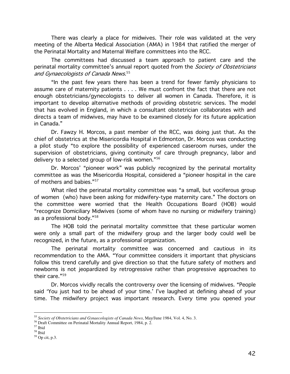There was clearly a place for midwives. Their role was validated at the very meeting of the Alberta Medical Association (AMA) in 1984 that ratified the merger of the Perinatal Mortality and Maternal Welfare committees into the RCC.

The committees had discussed a team approach to patient care and the perinatal mortality committee's annual report quoted from the Society of Obstetricians and Gynaecologists of Canada News.<sup>55</sup>

"In the past few years there has been a trend for fewer family physicians to assume care of maternity patients . . . . We must confront the fact that there are not enough obstetricians/gynecologists to deliver all women in Canada. Therefore, it is important to develop alternative methods of providing obstetric services. The model that has evolved in England, in which a consultant obstetrician collaborates with and directs a team of midwives, may have to be examined closely for its future application in Canada."

Dr. Fawzy H. Morcos, a past member of the RCC, was doing just that. As the chief of obstetrics at the Misericordia Hospital in Edmonton, Dr. Morcos was conducting a pilot study "to explore the possibility of experienced caseroom nurses, under the supervision of obstetricians, giving continuity of care through pregnancy, labor and delivery to a selected group of low-risk women."56

Dr. Morcos' "pioneer work" was publicly recognized by the perinatal mortality committee as was the Misericordia Hospital, considered a "pioneer hospital in the care of mothers and babies."<sup>57</sup>

What riled the perinatal mortality committee was "a small, but vociferous group of women (who) have been asking for midwifery-type maternity care." The doctors on the committee were worried that the Health Occupations Board (HOB) would "recognize Domiciliary Midwives (some of whom have no nursing or midwifery training) as a professional body."<sup>58</sup>

The HOB told the perinatal mortality committee that these particular women were only a small part of the midwifery group and the larger body could well be recognized, in the future, as a professional organization.

The perinatal mortality committee was concerned and cautious in its recommendation to the AMA. "Your committee considers it important that physicians follow this trend carefully and give direction so that the future safety of mothers and newborns is not jeopardized by retrogressive rather than progressive approaches to their care."59

Dr. Morcos vividly recalls the controversy over the licensing of midwives. "People said 'You just had to be ahead of your time.' I've laughed at defining ahead of your time. The midwifery project was important research. Every time you opened your

<sup>&</sup>lt;sup>55</sup> Society of Obstetricians and Gynaecologists of Canada News, May/June 1984, Vol. 4, No. 3.

<sup>&</sup>lt;sup>56</sup> Draft Committee on Perinatal Mortality Annual Report, 1984, p. 2.

 $^{\rm 57}$  Ibid

 $^{\rm 58}$  Ibid

<sup>&</sup>lt;sup>59</sup> Op cit, p.3.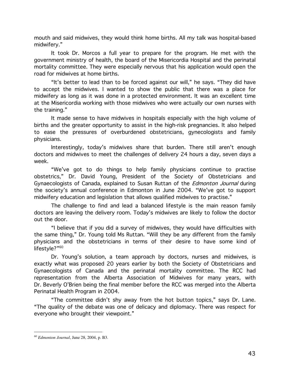mouth and said midwives, they would think home births. All my talk was hospital-based midwifery."

It took Dr. Morcos a full year to prepare for the program. He met with the government ministry of health, the board of the Misericordia Hospital and the perinatal mortality committee. They were especially nervous that his application would open the road for midwives at home births.

"It's better to lead than to be forced against our will," he says. "They did have to accept the midwives. I wanted to show the public that there was a place for midwifery as long as it was done in a protected environment. It was an excellent time at the Misericordia working with those midwives who were actually our own nurses with the training."

It made sense to have midwives in hospitals especially with the high volume of births and the greater opportunity to assist in the high-risk pregnancies. It also helped to ease the pressures of overburdened obstetricians, gynecologists and family physicians.

Interestingly, today's midwives share that burden. There still aren't enough doctors and midwives to meet the challenges of delivery 24 hours a day, seven days a week.

"We've got to do things to help family physicians continue to practise obstetrics," Dr. David Young, President of the Society of Obstetricians and Gynaecologists of Canada, explained to Susan Ruttan of the *Edmonton Journal* during the society's annual conference in Edmonton in June 2004. "We've got to support midwifery education and legislation that allows qualified midwives to practise."

The challenge to find and lead a balanced lifestyle is the main reason family doctors are leaving the delivery room. Today's midwives are likely to follow the doctor out the door.

"I believe that if you did a survey of midwives, they would have difficulties with the same thing," Dr. Young told Ms Ruttan. "Will they be any different from the family physicians and the obstetricians in terms of their desire to have some kind of lifestyle?"<sup>60</sup>

Dr. Young's solution, a team approach by doctors, nurses and midwives, is exactly what was proposed 20 years earlier by both the Society of Obstetricians and Gynaecologists of Canada and the perinatal mortality committee. The RCC had representation from the Alberta Association of Midwives for many years, with Dr. Beverly O'Brien being the final member before the RCC was merged into the Alberta Perinatal Health Program in 2004.

"The committee didn't shy away from the hot button topics," says Dr. Lane. "The quality of the debate was one of delicacy and diplomacy. There was respect for everyone who brought their viewpoint."

 $60$  Edmonton Journal, June 28, 2004, p. B3.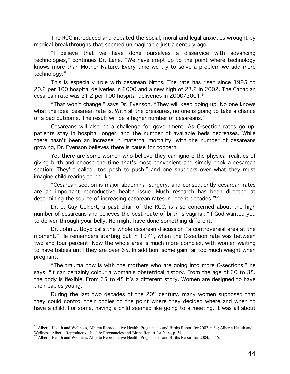The RCC introduced and debated the social, moral and legal anxieties wrought by medical breakthroughs that seemed unimaginable just a century ago.

"I believe that we have done ourselves a disservice with advancing technologies," continues Dr. Lane. "We have crept up to the point where technology knows more than Mother Nature. Every time we try to solve a problem we add more technology."

This is especially true with cesarean births. The rate has risen since 1995 to 20.2 per 100 hospital deliveries in 2000 and a new high of 23.2 in 2002. The Canadian cesarean rate was 21.2 per 100 hospital deliveries in 2000/2001.<sup>61</sup>

"That won't change," says Dr. Evenson. "They will keep going up. No one knows what the ideal cesarean rate is. With all the pressures, no one is going to take a chance of a bad outcome. The result will be a higher number of cesareans."

Cesareans will also be a challenge for government. As C-section rates go up, patients stay in hospital longer, and the number of available beds decreases. While there hasn't been an increase in maternal mortality, with the number of cesareans growing, Dr. Evenson believes there is cause for concern.

Yet there are some women who believe they can ignore the physical realities of giving birth and choose the time that's most convenient and simply book a cesarean section. They're called "too posh to push," and one shudders over what they must imagine child rearing to be like.

"Cesarean section is major abdominal surgery, and consequently cesarean rates are an important reproductive health issue. Much research has been directed at determining the source of increasing cesarean rates in recent decades."<sup>62</sup>

Dr. J. Guy Gokiert, a past chair of the RCC, is also concerned about the high number of cesareans and believes the best route of birth is vaginal: "If God wanted you to deliver through your belly, He might have done something different."

Dr. John J. Boyd calls the whole cesarean discussion "a controversial area at the moment." He remembers starting out in 1971, when the C-section rate was between two and four percent. Now the whole area is much more complex, with women waiting to have babies until they are over 35. In addition, some gain far too much weight when pregnant.

"The trauma now is with the mothers who are going into more C-sections," he says. "It can certainly colour a woman's obstetrical history. From the age of 20 to 35, the body is flexible. From 35 to 45 it's a different story. Women are designed to have their babies young."

During the last two decades of the 20<sup>th</sup> century, many women supposed that they could control their bodies to the point where they decided where and when to have a child. For some, having a child seemed like going to a meeting. It was all about

<sup>&</sup>lt;sup>61</sup> Alberta Health and Wellness, Alberta Reproductive Health: Pregnancies and Births Report for 2002, p.34; Alberta Health and Wellness, Alberta Reproductive Health: Pregnancies and Births Report for 2004, p. 34.

<sup>62</sup> Alberta Health and Wellness, Alberta Reproductive Health: Pregnancies and Births Report for 2004, p. 46.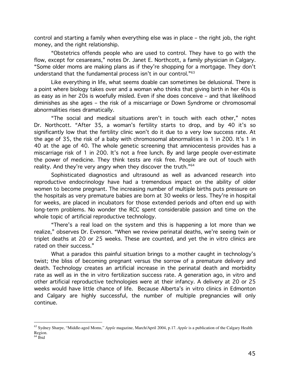control and starting a family when everything else was in place – the right job, the right money, and the right relationship.

"Obstetrics offends people who are used to control. They have to go with the flow, except for cesareans," notes Dr. Janet E. Northcott, a family physician in Calgary. "Some older moms are making plans as if they're shopping for a mortgage. They don't understand that the fundamental process isn't in our control." $\rm ^{63}$ 

Like everything in life, what seems doable can sometimes be delusional. There is a point where biology takes over and a woman who thinks that giving birth in her 40s is as easy as in her 20s is woefully misled. Even if she does conceive – and that likelihood diminishes as she ages – the risk of a miscarriage or Down Syndrome or chromosomal abnormalities rises dramatically.

"The social and medical situations aren't in touch with each other," notes Dr. Northcott. "After 35, a woman's fertility starts to drop, and by 40 it's so significantly low that the fertility clinic won't do it due to a very low success rate. At the age of 35, the risk of a baby with chromosomal abnormalities is 1 in 200. It's 1 in 40 at the age of 40. The whole genetic screening that amniocentesis provides has a miscarriage risk of 1 in 200. It's not a free lunch. By and large people over-estimate the power of medicine. They think tests are risk free. People are out of touch with reality. And they're very angry when they discover the truth."<sup>64</sup>

Sophisticated diagnostics and ultrasound as well as advanced research into reproductive endocrinology have had a tremendous impact on the ability of older women to become pregnant. The increasing number of multiple births puts pressure on the hospitals as very premature babies are born at 30 weeks or less. They're in hospital for weeks, are placed in incubators for those extended periods and often end up with long-term problems. No wonder the RCC spent considerable passion and time on the whole topic of artificial reproductive technology.

"There's a real load on the system and this is happening a lot more than we realize," observes Dr. Evenson. "When we review perinatal deaths, we're seeing twin or triplet deaths at 20 or 25 weeks. These are counted, and yet the in vitro clinics are rated on their success."

What a paradox this painful situation brings to a mother caught in technology's twist; the bliss of becoming pregnant versus the sorrow of a premature delivery and death. Technology creates an artificial increase in the perinatal death and morbidity rate as well as in the in vitro fertilization success rate. A generation ago, in vitro and other artificial reproductive technologies were at their infancy. A delivery at 20 or 25 weeks would have little chance of life. Because Alberta's in vitro clinics in Edmonton and Calgary are highly successful, the number of multiple pregnancies will only continue.

<sup>63</sup> Sydney Sharpe, "Middle-aged Moms," *Apple* magazine, March/April 2004, p.17. *Apple* is a publication of the Calgary Health Region.

<sup>64</sup> Ibid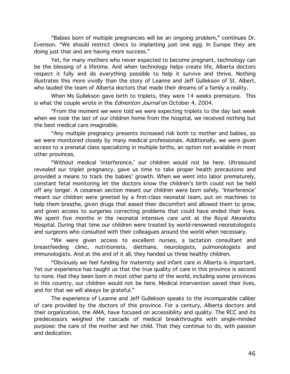"Babies born of multiple pregnancies will be an ongoing problem," continues Dr. Evenson. "We should restrict clinics to implanting just one egg. In Europe they are doing just that and are having more success."

Yet, for many mothers who never expected to become pregnant, technology can be the blessing of a lifetime. And when technology helps create life, Alberta doctors respect it fully and do everything possible to help it survive and thrive. Nothing illustrates this more vividly than the story of Leanne and Jeff Gullekson of St. Albert, who lauded the team of Alberta doctors that made their dreams of a family a reality.

When Ms Gullekson gave birth to triplets, they were 14 weeks premature. This is what the couple wrote in the *Edmonton Journal* on October 4, 2004.

"From the moment we were told we were expecting triplets to the day last week when we took the last of our children home from the hospital, we received nothing but the best medical care imaginable.

"Any multiple pregnancy presents increased risk both to mother and babies, so we were monitored closely by many medical professionals. Additionally, we were given access to a prenatal class specializing in multiple births, an option not available in most other provinces.

"Without medical 'interference,' our children would not be here. Ultrasound revealed our triplet pregnancy, gave us time to take proper health precautions and provided a means to track the babies' growth. When we went into labor prematurely, constant fetal monitoring let the doctors know the children's birth could not be held off any longer. A cesarean section meant our children were born safely. 'Interference' meant our children were greeted by a first-class neonatal team, put on machines to help them breathe, given drugs that eased their discomfort and allowed them to grow, and given access to surgeries correcting problems that could have ended their lives. We spent five months in the neonatal intensive care unit at the Royal Alexandra Hospital. During that time our children were treated by world-renowned neonatologists and surgeons who consulted with their colleagues around the world when necessary.

"We were given access to excellent nurses, a lactation consultant and breastfeeding clinic, nutritionists, dietitians, neurologists, pulmonologists and immunologists. And at the end of it all, they handed us three healthy children.

"Obviously we feel funding for maternity and infant care in Alberta is important. Yet our experience has taught us that the true quality of care in this province is second to none. Had they been born in most other parts of the world, including some provinces in this country, our children would not be here. Medical intervention saved their lives, and for that we will always be grateful."

The experience of Leanne and Jeff Gullekson speaks to the incomparable caliber of care provided by the doctors of this province. For a century, Alberta doctors and their organization, the AMA, have focused on accessibility and quality. The RCC and its predecessors weighed the cascade of medical breakthroughs with single-minded purpose: the care of the mother and her child. That they continue to do, with passion and dedication.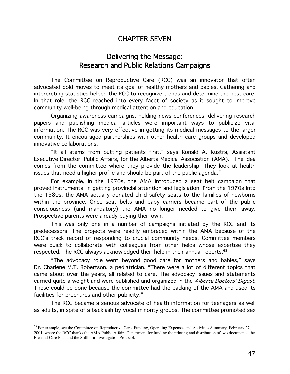## **CHAPTER SEVEN**

## Delivering the Message: **Research and Public Relations Campaigns**

The Committee on Reproductive Care (RCC) was an innovator that often advocated bold moves to meet its goal of healthy mothers and babies. Gathering and interpreting statistics helped the RCC to recognize trends and determine the best care. In that role, the RCC reached into every facet of society as it sought to improve community well-being through medical attention and education.

Organizing awareness campaigns, holding news conferences, delivering research papers and publishing medical articles were important ways to publicize vital information. The RCC was very effective in getting its medical messages to the larger community. It encouraged partnerships with other health care groups and developed innovative collaborations.

"It all stems from putting patients first," says Ronald A. Kustra, Assistant Executive Director, Public Affairs, for the Alberta Medical Association (AMA). "The idea comes from the committee where they provide the leadership. They look at health issues that need a higher profile and should be part of the public agenda."

For example, in the 1970s, the AMA introduced a seat belt campaign that proved instrumental in getting provincial attention and legislation. From the 1970s into the 1980s, the AMA actually donated child safety seats to the families of newborns within the province. Once seat belts and baby carriers became part of the public consciousness (and mandatory) the AMA no longer needed to give them away. Prospective parents were already buying their own.

This was only one in a number of campaigns initiated by the RCC and its predecessors. The projects were readily embraced within the AMA because of the RCC's track record of responding to crucial community needs. Committee members were quick to collaborate with colleagues from other fields whose expertise they respected. The RCC always acknowledged their help in their annual reports.<sup>65</sup>

"The advocacy role went beyond good care for mothers and babies," says Dr. Charlene M.T. Robertson, a pediatrician. "There were a lot of different topics that came about over the years, all related to care. The advocacy issues and statements carried quite a weight and were published and organized in the Alberta Doctors' Digest. These could be done because the committee had the backing of the AMA and used its facilities for brochures and other publicity."

The RCC became a serious advocate of health information for teenagers as well as adults, in spite of a backlash by vocal minority groups. The committee promoted sex

<sup>&</sup>lt;sup>65</sup> For example, see the Committee on Reproductive Care: Funding, Operating Expenses and Activities Summary, February 27, 2001, where the RCC thanks the AMA Public Affairs Department for funding the printing and distribution of two documents: the Prenatal Care Plan and the Stillborn Investigation Protocol.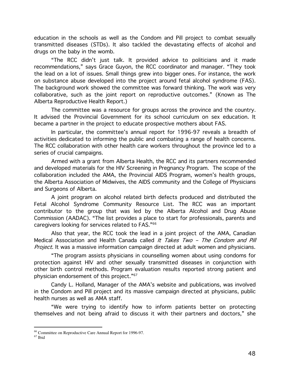education in the schools as well as the Condom and Pill project to combat sexually transmitted diseases (STDs). It also tackled the devastating effects of alcohol and drugs on the baby in the womb.

"The RCC didn't just talk. It provided advice to politicians and it made recommendations," says Grace Guyon, the RCC coordinator and manager. "They took the lead on a lot of issues. Small things grew into bigger ones. For instance, the work on substance abuse developed into the project around fetal alcohol syndrome (FAS). The background work showed the committee was forward thinking. The work was very collaborative, such as the joint report on reproductive outcomes." (Known as The Alberta Reproductive Health Report.)

The committee was a resource for groups across the province and the country. It advised the Provincial Government for its school curriculum on sex education. It became a partner in the project to educate prospective mothers about FAS.

In particular, the committee's annual report for 1996-97 reveals a breadth of activities dedicated to informing the public and combating a range of health concerns. The RCC collaboration with other health care workers throughout the province led to a series of crucial campaigns.

Armed with a grant from Alberta Health, the RCC and its partners recommended and developed materials for the HIV Screening in Pregnancy Program. The scope of the collaboration included the AMA, the Provincial AIDS Program, women's health groups, the Alberta Association of Midwives, the AIDS community and the College of Physicians and Surgeons of Alberta.

A joint program on alcohol related birth defects produced and distributed the Fetal Alcohol Syndrome Community Resource List. The RCC was an important contributor to the group that was led by the Alberta Alcohol and Drug Abuse Commission (AADAC). "The list provides a place to start for professionals, parents and caregivers looking for services related to FAS."<sup>66</sup>

Also that year, the RCC took the lead in a joint project of the AMA, Canadian Medical Association and Health Canada called It Takes Two - The Condom and Pill *Project*. It was a massive information campaign directed at adult women and physicians.

"The program assists physicians in counselling women about using condoms for  $\;$ protection against HIV and other sexually transmitted diseases in conjunction with other birth control methods. Program evaluation results reported strong patient and physician endorsement of this project." $\rm ^{67}$ 

Candy L. Holland, Manager of the AMA's website and publications, was involved in the Condom and Pill project and its massive campaign directed at physicians, public health nurses as well as AMA staff.

"We were trying to identify how to inform patients better on protecting themselves and not being afraid to discuss it with their partners and doctors," she

<sup>&</sup>lt;sup>66</sup> Committee on Reproductive Care Annual Report for 1996-97.

<sup>67</sup> Ibid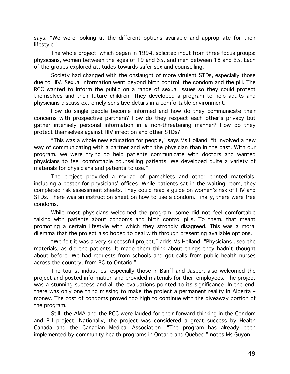says. "We were looking at the different options available and appropriate for their lifestyle."

The whole project, which began in 1994, solicited input from three focus groups: physicians, women between the ages of 19 and 35, and men between 18 and 35. Each of the groups explored attitudes towards safer sex and counselling.

Society had changed with the onslaught of more virulent STDs, especially those due to HIV. Sexual information went beyond birth control, the condom and the pill. The RCC wanted to inform the public on a range of sexual issues so they could protect themselves and their future children. They developed a program to help adults and physicians discuss extremely sensitive details in a comfortable environment.

How do single people become informed and how do they communicate their concerns with prospective partners? How do they respect each other's privacy but gather intensely personal information in a non-threatening manner? How do they protect themselves against HIV infection and other STDs?

"This was a whole new education for people," says Ms Holland. "It involved a new way of communicating with a partner and with the physician than in the past. With our program, we were trying to help patients communicate with doctors and wanted physicians to feel comfortable counselling patients. We developed quite a variety of materials for physicians and patients to use."

The project provided a myriad of pamphlets and other printed materials, including a poster for physicians' offices. While patients sat in the waiting room, they completed risk assessment sheets. They could read a guide on women's risk of HIV and STDs. There was an instruction sheet on how to use a condom. Finally, there were free condoms.

While most physicians welcomed the program, some did not feel comfortable talking with patients about condoms and birth control pills. To them, that meant promoting a certain lifestyle with which they strongly disagreed. This was a moral dilemma that the project also hoped to deal with through presenting available options.

"We felt it was a very successful project," adds Ms Holland. "Physicians used the materials, as did the patients. It made them think about things they hadn't thought about before. We had requests from schools and got calls from public health nurses across the country, from BC to Ontario."

The tourist industries, especially those in Banff and Jasper, also welcomed the project and posted information and provided materials for their employees. The project was a stunning success and all the evaluations pointed to its significance. In the end, there was only one thing missing to make the project a permanent reality in Alberta money. The cost of condoms proved too high to continue with the giveaway portion of the program.

Still, the AMA and the RCC were lauded for their forward thinking in the Condom and Pill project. Nationally, the project was considered a great success by Health Canada and the Canadian Medical Association. "The program has already been implemented by community health programs in Ontario and Quebec," notes Ms Guyon.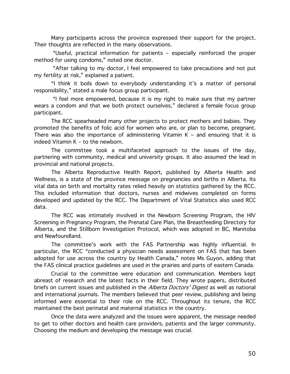Many participants across the province expressed their support for the project. Their thoughts are reflected in the many observations.

"Useful, practical information for patients - especially reinforced the proper method for using condoms," noted one doctor.

"After talking to my doctor, I feel empowered to take precautions and not put my fertility at risk," explained a patient.

"I think it boils down to everybody understanding it's a matter of personal responsibility," stated a male focus group participant.

"I feel more empowered, because it is my right to make sure that my partner wears a condom and that we both protect ourselves," declared a female focus group participant.

The RCC spearheaded many other projects to protect mothers and babies. They promoted the benefits of folic acid for women who are, or plan to become, pregnant. There was also the importance of administering Vitamin  $K -$  and ensuring that it is indeed Vitamin K - to the newborn.

The committee took a multifaceted approach to the issues of the day, partnering with community, medical and university groups. It also assumed the lead in provincial and national projects.

The Alberta Reproductive Health Report, published by Alberta Health and Wellness, is a state of the province message on pregnancies and births in Alberta. Its vital data on birth and mortality rates relied heavily on statistics gathered by the RCC. This included information that doctors, nurses and midwives completed on forms developed and updated by the RCC. The Department of Vital Statistics also used RCC data.

The RCC was intimately involved in the Newborn Screening Program, the HIV Screening in Pregnancy Program, the Prenatal Care Plan, the Breastfeeding Directory for Alberta, and the Stillborn Investigation Protocol, which was adopted in BC, Manitoba and Newfoundland.

The committee's work with the FAS Partnership was highly influential. In particular, the RCC "conducted a physician needs assessment on FAS that has been adopted for use across the country by Health Canada," notes Ms Guyon, adding that the FAS clinical practice quidelines are used in the prairies and parts of eastern Canada.

Crucial to the committee were education and communication. Members kept abreast of research and the latest facts in their field. They wrote papers, distributed briefs on current issues and published in the *Alberta Doctors' Digest* as well as national and international journals. The members believed that peer review, publishing and being informed were essential to their role on the RCC. Throughout its tenure, the RCC maintained the best perinatal and maternal statistics in the country.

Once the data were analyzed and the issues were apparent, the message needed to get to other doctors and health care providers, patients and the larger community. Choosing the medium and developing the message was crucial.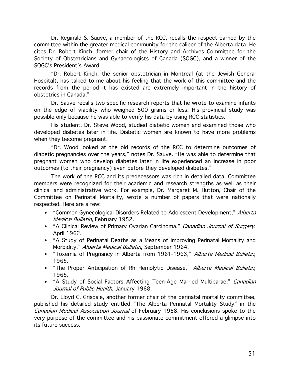Dr. Reginald S. Sauve, a member of the RCC, recalls the respect earned by the committee within the greater medical community for the caliber of the Alberta data. He cites Dr. Robert Kinch, former chair of the History and Archives Committee for the Society of Obstetricians and Gynaecologists of Canada (SOGC), and a winner of the SOGC's President's Award.

"Dr. Robert Kinch, the senior obstetrician in Montreal (at the Jewish General Hospital), has talked to me about his feeling that the work of this committee and the records from the period it has existed are extremely important in the history of obstetrics in Canada."

Dr. Sauve recalls two specific research reports that he wrote to examine infants on the edge of viability who weighed 500 grams or less. His provincial study was possible only because he was able to verify his data by using RCC statistics.

His student, Dr. Steve Wood, studied diabetic women and examined those who developed diabetes later in life. Diabetic women are known to have more problems when they become pregnant.

"Dr. Wood looked at the old records of the RCC to determine outcomes of diabetic pregnancies over the years," notes Dr. Sauve. "He was able to determine that pregnant women who develop diabetes later in life experienced an increase in poor outcomes (to their pregnancy) even before they developed diabetes."

The work of the RCC and its predecessors was rich in detailed data. Committee members were recognized for their academic and research strengths as well as their clinical and administrative work. For example, Dr. Margaret M. Hutton, Chair of the Committee on Perinatal Mortality, wrote a number of papers that were nationally respected. Here are a few:

- "Common Gynecological Disorders Related to Adolescent Development," Alberta Medical Bulletin, February 1952.
- "A Clinical Review of Primary Ovarian Carcinoma," Canadian Journal of Surgery, April 1962.
- "A Study of Perinatal Deaths as a Means of Improving Perinatal Mortality and Morbidity," Alberta Medical Bulletin, September 1964.
- "Toxemia of Pregnancy in Alberta from 1961-1963," Alberta Medical Bulletin, 1965.
- "The Proper Anticipation of Rh Hemolytic Disease," Alberta Medical Bulletin, 1965.
- "A Study of Social Factors Affecting Teen-Age Married Multiparae," Canadian Journal of Public Health, January 1968.

Dr. Lloyd C. Grisdale, another former chair of the perinatal mortality committee, published his detailed study entitled "The Alberta Perinatal Mortality Study" in the Canadian Medical Association Journal of February 1958. His conclusions spoke to the very purpose of the committee and his passionate commitment offered a glimpse into its future success.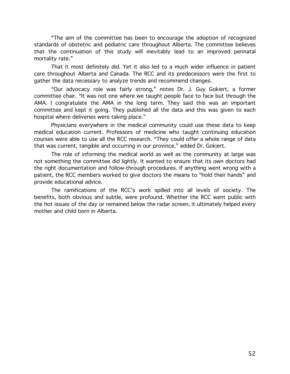"The aim of the committee has been to encourage the adoption of recognized standards of obstetric and pediatric care throughout Alberta. The committee believes that the continuation of this study will inevitably lead to an improved perinatal mortality rate."

That it most definitely did. Yet it also led to a much wider influence in patient care throughout Alberta and Canada. The RCC and its predecessors were the first to gather the data necessary to analyze trends and recommend changes.

"Our advocacy role was fairly strong," notes Dr. J. Guy Gokiert, a former committee chair. "It was not one where we taught people face to face but through the AMA. I congratulate the AMA in the long term. They said this was an important committee and kept it going. They published all the data and this was given to each hospital where deliveries were taking place."

Physicians everywhere in the medical community could use these data to keep medical education current. Professors of medicine who taught continuing education courses were able to use all the RCC research. "They could offer a whole range of data that was current, tangible and occurring in our province," added Dr. Gokiert.

The role of informing the medical world as well as the community at large was not something the committee did lightly. It wanted to ensure that its own doctors had the right documentation and follow-through procedures. If anything went wrong with a patient, the RCC members worked to give doctors the means to "hold their hands" and provide educational advice.

The ramifications of the RCC's work spilled into all levels of society. The benefits, both obvious and subtle, were profound. Whether the RCC went public with the hot issues of the day or remained below the radar screen, it ultimately helped every mother and child born in Alberta.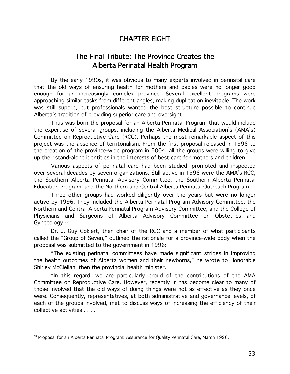## **CHAPTER EIGHT**

## The Final Tribute: The Province Creates the Alberta Perinatal Health Program

By the early 1990s, it was obvious to many experts involved in perinatal care that the old ways of ensuring health for mothers and babies were no longer good enough for an increasingly complex province. Several excellent programs were approaching similar tasks from different angles, making duplication inevitable. The work was still superb, but professionals wanted the best structure possible to continue Alberta's tradition of providing superior care and oversight.

Thus was born the proposal for an Alberta Perinatal Program that would include the expertise of several groups, including the Alberta Medical Association's (AMA's) Committee on Reproductive Care (RCC). Perhaps the most remarkable aspect of this project was the absence of territorialism. From the first proposal released in 1996 to the creation of the province-wide program in 2004, all the groups were willing to give up their stand-alone identities in the interests of best care for mothers and children.

Various aspects of perinatal care had been studied, promoted and inspected over several decades by seven organizations. Still active in 1996 were the AMA's RCC, the Southern Alberta Perinatal Advisory Committee, the Southern Alberta Perinatal Education Program, and the Northern and Central Alberta Perinatal Outreach Program.

Three other groups had worked diligently over the years but were no longer active by 1996. They included the Alberta Perinatal Program Advisory Committee, the Northern and Central Alberta Perinatal Program Advisory Committee, and the College of Physicians and Surgeons of Alberta Advisory Committee on Obstetrics and Gynecology.<sup>68</sup>

Dr. J. Guy Gokiert, then chair of the RCC and a member of what participants called the "Group of Seven," outlined the rationale for a province-wide body when the proposal was submitted to the government in 1996:

"The existing perinatal committees have made significant strides in improving the health outcomes of Alberta women and their newborns," he wrote to Honorable Shirley McClellan, then the provincial health minister.

"In this regard, we are particularly proud of the contributions of the AMA Committee on Reproductive Care. However, recently it has become clear to many of those involved that the old ways of doing things were not as effective as they once were. Consequently, representatives, at both administrative and governance levels, of each of the groups involved, met to discuss ways of increasing the efficiency of their collective activities . . . .

<sup>&</sup>lt;sup>68</sup> Proposal for an Alberta Perinatal Program: Assurance for Quality Perinatal Care, March 1996.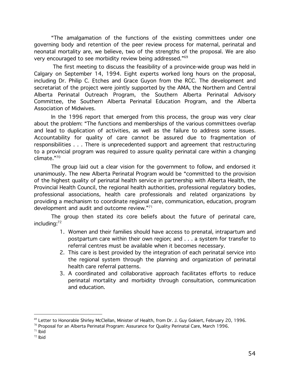"The amalgamation of the functions of the existing committees under one governing body and retention of the peer review process for maternal, perinatal and neonatal mortality are, we believe, two of the strengths of the proposal. We are also very encouraged to see morbidity review being addressed."<sup>69</sup>

The first meeting to discuss the feasibility of a province-wide group was held in Calgary on September 14, 1994. Eight experts worked long hours on the proposal, including Dr. Philip C. Etches and Grace Guyon from the RCC. The development and secretariat of the project were jointly supported by the AMA, the Northern and Central Alberta Perinatal Outreach Program, the Southern Alberta Perinatal Advisory Committee, the Southern Alberta Perinatal Education Program, and the Alberta Association of Midwives.

In the 1996 report that emerged from this process, the group was very clear about the problem: "The functions and memberships of the various committees overlap and lead to duplication of activities, as well as the failure to address some issues. Accountability for quality of care cannot be assured due to fragmentation of responsibilities . . . There is unprecedented support and agreement that restructuring to a provincial program was required to assure quality perinatal care within a changing  $climate.$ "<sup>70</sup>

The group laid out a clear vision for the government to follow, and endorsed it unanimously. The new Alberta Perinatal Program would be "committed to the provision of the highest quality of perinatal health service in partnership with Alberta Health, the Provincial Health Council, the regional health authorities, professional regulatory bodies, professional associations, health care professionals and related organizations by providing a mechanism to coordinate regional care, communication, education, program development and audit and outcome review."71

The group then stated its core beliefs about the future of perinatal care, includina:<sup>72</sup>

- 1. Women and their families should have access to prenatal, intrapartum and postpartum care within their own region; and . . . a system for transfer to referral centres must be available when it becomes necessary.
- 2. This care is best provided by the integration of each perinatal service into the regional system through the planning and organization of perinatal health care referral patterns.
- 3. A coordinated and collaborative approach facilitates efforts to reduce perinatal mortality and morbidity through consultation, communication and education

 $71$  Ibid

<sup>&</sup>lt;sup>69</sup> Letter to Honorable Shirley McClellan, Minister of Health, from Dr. J. Guy Gokiert, February 20, 1996.

 $70$  Proposal for an Alberta Perinatal Program: Assurance for Quality Perinatal Care, March 1996.

 $72$  Ibid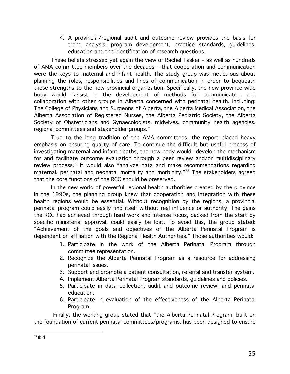4. A provincial/regional audit and outcome review provides the basis for trend analysis, program development, practice standards, guidelines, education and the identification of research questions.

These beliefs stressed yet again the view of Rachel Tasker - as well as hundreds of AMA committee members over the decades - that cooperation and communication were the keys to maternal and infant health. The study group was meticulous about planning the roles, responsibilities and lines of communication in order to bequeath these strengths to the new provincial organization. Specifically, the new province-wide body would "assist in the development of methods for communication and collaboration with other groups in Alberta concerned with perinatal health, including: The College of Physicians and Surgeons of Alberta, the Alberta Medical Association, the Alberta Association of Registered Nurses, the Alberta Pediatric Society, the Alberta Society of Obstetricians and Gynaecologists, midwives, community health agencies, regional committees and stakeholder groups."

True to the long tradition of the AMA committees, the report placed heavy emphasis on ensuring quality of care. To continue the difficult but useful process of investigating maternal and infant deaths, the new body would "develop the mechanism for and facilitate outcome evaluation through a peer review and/or multidisciplinary review process." It would also "analyze data and make recommendations regarding maternal, perinatal and neonatal mortality and morbidity."73 The stakeholders agreed that the core functions of the RCC should be preserved.

In the new world of powerful regional health authorities created by the province in the 1990s, the planning group knew that cooperation and integration with these health regions would be essential. Without recognition by the regions, a provincial perinatal program could easily find itself without real influence or authority. The gains the RCC had achieved through hard work and intense focus, backed from the start by specific ministerial approval, could easily be lost. To avoid this, the group stated: "Achievement of the goals and objectives of the Alberta Perinatal Program is dependent on affiliation with the Regional Health Authorities." Those authorities would:

- 1. Participate in the work of the Alberta Perinatal Program through committee representation.
- 2. Recognize the Alberta Perinatal Program as a resource for addressing perinatal issues.
- 3. Support and promote a patient consultation, referral and transfer system.
- 4. Implement Alberta Perinatal Program standards, quidelines and policies.
- 5. Participate in data collection, audit and outcome review, and perinatal education.
- 6. Participate in evaluation of the effectiveness of the Alberta Perinatal Program.

Finally, the working group stated that "the Alberta Perinatal Program, built on the foundation of current perinatal committees/programs, has been designed to ensure

 $73$  lbid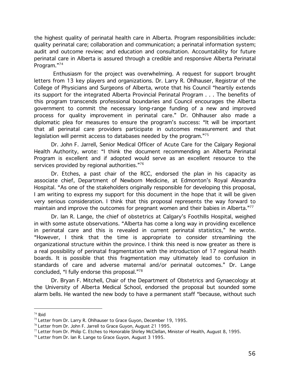the highest quality of perinatal health care in Alberta. Program responsibilities include: quality perinatal care; collaboration and communication; a perinatal information system; audit and outcome review; and education and consultation. Accountability for future perinatal care in Alberta is assured through a credible and responsive Alberta Perinatal Program."74

Enthusiasm for the project was overwhelming. A request for support brought letters from 13 key players and organizations. Dr. Larry R. Ohlhauser, Registrar of the College of Physicians and Surgeons of Alberta, wrote that his Council "heartily extends its support for the integrated Alberta Provincial Perinatal Program . . . The benefits of this program transcends professional boundaries and Council encourages the Alberta government to commit the necessary long-range funding of a new and improved process for quality improvement in perinatal care." Dr. Ohlhauser also made a diplomatic plea for measures to ensure the program's success: "It will be important that all perinatal care providers participate in outcomes measurement and that legislation will permit access to databases needed by the program."<sup>75</sup>

Dr. John F. Jarrell, Senior Medical Officer of Acute Care for the Calgary Regional Health Authority, wrote: "I think the document recommending an Alberta Perinatal Program is excellent and if adopted would serve as an excellent resource to the services provided by regional authorities."76

Dr. Etches, a past chair of the RCC, endorsed the plan in his capacity as associate chief, Department of Newborn Medicine, at Edmonton's Royal Alexandra Hospital. "As one of the stakeholders originally responsible for developing this proposal, I am writing to express my support for this document in the hope that it will be given very serious consideration. I think that this proposal represents the way forward to maintain and improve the outcomes for pregnant women and their babies in Alberta."77

Dr. Ian R. Lange, the chief of obstetrics at Calgary's Foothills Hospital, weighed in with some astute observations. "Alberta has come a long way in providing excellence in perinatal care and this is revealed in current perinatal statistics," he wrote. "However, I think that the time is appropriate to consider streamlining the organizational structure within the province. I think this need is now greater as there is a real possibility of perinatal fragmentation with the introduction of 17 regional health boards. It is possible that this fragmentation may ultimately lead to confusion in standards of care and adverse maternal and/or perinatal outcomes." Dr. Lange concluded, "I fully endorse this proposal."78

Dr. Brvan F. Mitchell, Chair of the Department of Obstetrics and Gynaecology at the University of Alberta Medical School, endorsed the proposal but sounded some alarm bells. He wanted the new body to have a permanent staff "because, without such

 $74$  Ibid

<sup>&</sup>lt;sup>75</sup> Letter from Dr. Larry R. Ohlhauser to Grace Guyon. December 19, 1995.

<sup>&</sup>lt;sup>76</sup> Letter from Dr. John F. Jarrell to Grace Guyon, August 21 1995.

 $77$  Letter from Dr. Philip C. Etches to Honorable Shirley McClellan, Minister of Health, August 8, 1995.

<sup>78</sup> Letter from Dr. Ian R. Lange to Grace Guyon, August 3 1995.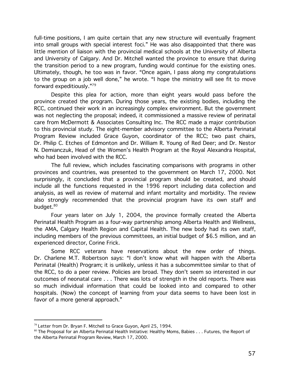full-time positions, I am quite certain that any new structure will eventually fragment into small groups with special interest foci." He was also disappointed that there was little mention of liaison with the provincial medical schools at the University of Alberta and University of Calgary. And Dr. Mitchell wanted the province to ensure that during the transition period to a new program, funding would continue for the existing ones. Ultimately, though, he too was in favor. "Once again, I pass along my congratulations to the group on a job well done," he wrote. "I hope the ministry will see fit to move forward expeditiously."79

Despite this plea for action, more than eight years would pass before the province created the program. During those years, the existing bodies, including the RCC, continued their work in an increasingly complex environment. But the government was not neglecting the proposal; indeed, it commissioned a massive review of perinatal care from McDermott & Associates Consulting Inc. The RCC made a major contribution to this provincial study. The eight-member advisory committee to the Alberta Perinatal Program Review included Grace Guyon, coordinator of the RCC; two past chairs, Dr. Philip C. Etches of Edmonton and Dr. William R. Young of Red Deer; and Dr. Nestor N. Demianczuk, Head of the Women's Health Program at the Royal Alexandra Hospital, who had been involved with the RCC.

The full review, which includes fascinating comparisons with programs in other provinces and countries, was presented to the government on March 17, 2000. Not surprisingly, it concluded that a provincial program should be created, and should include all the functions requested in the 1996 report including data collection and analysis, as well as review of maternal and infant mortality and morbidity. The review also strongly recommended that the provincial program have its own staff and budget.<sup>80</sup>

Four years later on July 1, 2004, the province formally created the Alberta Perinatal Health Program as a four-way partnership among Alberta Health and Wellness, the AMA, Calgary Health Region and Capital Health. The new body had its own staff, including members of the previous committees, an initial budget of \$6.5 million, and an experienced director, Corine Frick.

Some RCC veterans have reservations about the new order of things. Dr. Charlene M.T. Robertson says: "I don't know what will happen with the Alberta Perinatal (Health) Program; it is unlikely, unless it has a subcommittee similar to that of the RCC, to do a peer review. Policies are broad. They don't seem so interested in our outcomes of neonatal care . . . There was lots of strength in the old reports. There was so much individual information that could be looked into and compared to other hospitals. (Now) the concept of learning from your data seems to have been lost in favor of a more general approach."

<sup>&</sup>lt;sup>79</sup> Letter from Dr. Bryan F. Mitchell to Grace Guyon, April 25, 1994.

 $80$  The Proposal for an Alberta Perinatal Health Initiative: Healthy Moms, Babies  $\dots$  Futures, the Report of the Alberta Perinatal Program Review, March 17, 2000.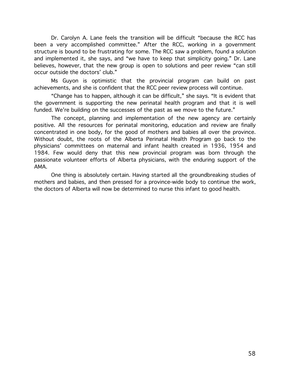Dr. Carolyn A. Lane feels the transition will be difficult "because the RCC has been a very accomplished committee." After the RCC, working in a government structure is bound to be frustrating for some. The RCC saw a problem, found a solution and implemented it, she says, and "we have to keep that simplicity going." Dr. Lane believes, however, that the new group is open to solutions and peer review "can still occur outside the doctors' club."

Ms Guyon is optimistic that the provincial program can build on past achievements, and she is confident that the RCC peer review process will continue.

"Change has to happen, although it can be difficult," she says. "It is evident that the government is supporting the new perinatal health program and that it is well funded. We're building on the successes of the past as we move to the future."

The concept, planning and implementation of the new agency are certainly positive. All the resources for perinatal monitoring, education and review are finally concentrated in one body, for the good of mothers and babies all over the province. Without doubt, the roots of the Alberta Perinatal Health Program go back to the physicians' committees on maternal and infant health created in 1936, 1954 and 1984. Few would deny that this new provincial program was born through the passionate volunteer efforts of Alberta physicians, with the enduring support of the AMA.

One thing is absolutely certain. Having started all the groundbreaking studies of mothers and babies, and then pressed for a province-wide body to continue the work, the doctors of Alberta will now be determined to nurse this infant to good health.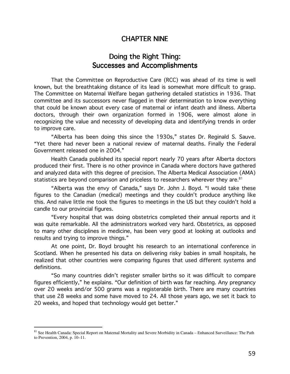#### **CHAPTER NINE**

## Doing the Right Thing: **Successes and Accomplishments**

That the Committee on Reproductive Care (RCC) was ahead of its time is well known, but the breathtaking distance of its lead is somewhat more difficult to grasp. The Committee on Maternal Welfare began gathering detailed statistics in 1936. That committee and its successors never flagged in their determination to know everything that could be known about every case of maternal or infant death and illness. Alberta doctors, through their own organization formed in 1906, were almost alone in recognizing the value and necessity of developing data and identifying trends in order to improve care.

"Alberta has been doing this since the 1930s," states Dr. Reginald S. Sauve. "Yet there had never been a national review of maternal deaths. Finally the Federal Government released one in 2004."

Health Canada published its special report nearly 70 years after Alberta doctors produced their first. There is no other province in Canada where doctors have gathered and analyzed data with this degree of precision. The Alberta Medical Association (AMA) statistics are beyond comparison and priceless to researchers wherever they are.<sup>81</sup>

"Alberta was the envy of Canada," says Dr. John J. Boyd. "I would take these figures to the Canadian (medical) meetings and they couldn't produce anything like this. And naïve little me took the figures to meetings in the US but they couldn't hold a candle to our provincial figures.

"Every hospital that was doing obstetrics completed their annual reports and it was quite remarkable. All the administrators worked very hard. Obstetrics, as opposed to many other disciplines in medicine, has been very good at looking at outlooks and results and trying to improve things."

At one point, Dr. Boyd brought his research to an international conference in Scotland. When he presented his data on delivering risky babies in small hospitals, he realized that other countries were comparing figures that used different systems and definitions.

"So many countries didn't register smaller births so it was difficult to compare figures efficiently," he explains. "Our definition of birth was far reaching. Any pregnancy over 20 weeks and/or 500 grams was a registerable birth. There are many countries that use 28 weeks and some have moved to 24. All those years ago, we set it back to 20 weeks, and hoped that technology would get better."

<sup>81</sup> See Health Canada: Special Report on Maternal Mortality and Severe Morbidity in Canada - Enhanced Surveillance: The Path to Prevention, 2004, p. 10-11.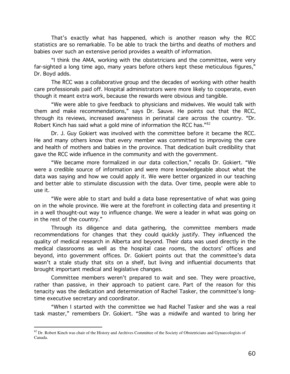That's exactly what has happened, which is another reason why the RCC statistics are so remarkable. To be able to track the births and deaths of mothers and babies over such an extensive period provides a wealth of information.

"I think the AMA, working with the obstetricians and the committee, were very far-sighted a long time ago, many years before others kept these meticulous figures," Dr. Boyd adds.

The RCC was a collaborative group and the decades of working with other health care professionals paid off. Hospital administrators were more likely to cooperate, even though it meant extra work, because the rewards were obvious and tangible.

"We were able to give feedback to physicians and midwives. We would talk with them and make recommendations," says Dr. Sauve. He points out that the RCC, through its reviews, increased awareness in perinatal care across the country. "Dr. Robert Kinch has said what a gold mine of information the RCC has."82

Dr. J. Guy Gokiert was involved with the committee before it became the RCC. He and many others know that every member was committed to improving the care and health of mothers and babies in the province. That dedication built credibility that gave the RCC wide influence in the community and with the government.

"We became more formalized in our data collection," recalls Dr. Gokiert. "We were a credible source of information and were more knowledgeable about what the data was saying and how we could apply it. We were better organized in our teaching and better able to stimulate discussion with the data. Over time, people were able to use it.

"We were able to start and build a data base representative of what was going on in the whole province. We were at the forefront in collecting data and presenting it in a well thought-out way to influence change. We were a leader in what was going on in the rest of the country."

Through its diligence and data gathering, the committee members made recommendations for changes that they could quickly justify. They influenced the quality of medical research in Alberta and beyond. Their data was used directly in the medical classrooms as well as the hospital case rooms, the doctors' offices and beyond, into government offices. Dr. Gokiert points out that the committee's data wasn't a stale study that sits on a shelf, but living and influential documents that brought important medical and legislative changes.

Committee members weren't prepared to wait and see. They were proactive, rather than passive, in their approach to patient care. Part of the reason for this tenacity was the dedication and determination of Rachel Tasker, the committee's longtime executive secretary and coordinator.

"When I started with the committee we had Rachel Tasker and she was a real task master," remembers Dr. Gokiert. "She was a midwife and wanted to bring her

<sup>82</sup> Dr. Robert Kinch was chair of the History and Archives Committee of the Society of Obstetricians and Gynaecologists of Canada.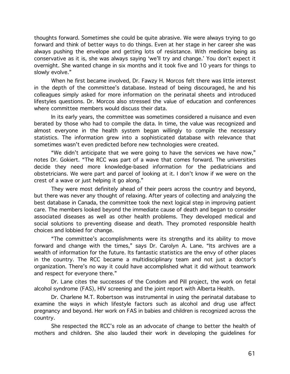thoughts forward. Sometimes she could be quite abrasive. We were always trying to go forward and think of better ways to do things. Even at her stage in her career she was always pushing the envelope and getting lots of resistance. With medicine being as conservative as it is, she was always saying 'we'll try and change.' You don't expect it overnight. She wanted change in six months and it took five and 10 years for things to slowly evolve."

When he first became involved, Dr. Fawzy H. Morcos felt there was little interest in the depth of the committee's database. Instead of being discouraged, he and his colleagues simply asked for more information on the perinatal sheets and introduced lifestyles questions. Dr. Morcos also stressed the value of education and conferences where committee members would discuss their data.

In its early years, the committee was sometimes considered a nuisance and even berated by those who had to compile the data. In time, the value was recognized and almost everyone in the health system began willingly to compile the necessary statistics. The information grew into a sophisticated database with relevance that sometimes wasn't even predicted before new technologies were created.

"We didn't anticipate that we were going to have the services we have now," notes Dr. Gokiert. "The RCC was part of a wave that comes forward. The universities decide they need more knowledge-based information for the pediatricians and obstetricians. We were part and parcel of looking at it. I don't know if we were on the crest of a wave or just helping it go along."

They were most definitely ahead of their peers across the country and beyond, but there was never any thought of relaxing. After years of collecting and analyzing the best database in Canada, the committee took the next logical step in improving patient care. The members looked beyond the immediate cause of death and began to consider associated diseases as well as other health problems. They developed medical and social solutions to preventing disease and death. They promoted responsible health choices and lobbied for change.

"The committee's accomplishments were its strengths and its ability to move forward and change with the times," says Dr. Carolyn A. Lane. "Its archives are a wealth of information for the future. Its fantastic statistics are the envy of other places in the country. The RCC became a multidisciplinary team and not just a doctor's organization. There's no way it could have accomplished what it did without teamwork and respect for everyone there."

Dr. Lane cites the successes of the Condom and Pill project, the work on fetal alcohol syndrome (FAS), HIV screening and the joint report with Alberta Health.

Dr. Charlene M.T. Robertson was instrumental in using the perinatal database to examine the ways in which lifestyle factors such as alcohol and drug use affect pregnancy and beyond. Her work on FAS in babies and children is recognized across the country.

She respected the RCC's role as an advocate of change to better the health of mothers and children. She also lauded their work in developing the guidelines for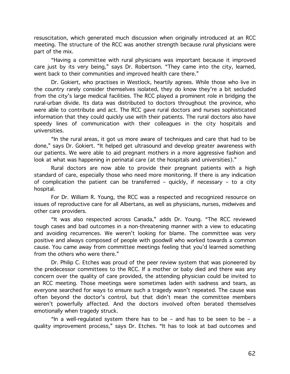resuscitation, which generated much discussion when originally introduced at an RCC meeting. The structure of the RCC was another strength because rural physicians were part of the mix.

"Having a committee with rural physicians was important because it improved care just by its very being," says Dr. Robertson. "They came into the city, learned, went back to their communities and improved health care there."

Dr. Gokiert, who practises in Westlock, heartily agrees. While those who live in the country rarely consider themselves isolated, they do know they're a bit secluded from the city's large medical facilities. The RCC played a prominent role in bridging the rural-urban divide. Its data was distributed to doctors throughout the province, who were able to contribute and act. The RCC gave rural doctors and nurses sophisticated information that they could quickly use with their patients. The rural doctors also have speedy lines of communication with their colleagues in the city hospitals and universities.

"In the rural areas, it got us more aware of techniques and care that had to be done," says Dr. Gokiert. "It helped get ultrasound and develop greater awareness with our patients. We were able to aid pregnant mothers in a more aggressive fashion and look at what was happening in perinatal care (at the hospitals and universities)."

Rural doctors are now able to provide their pregnant patients with a high standard of care, especially those who need more monitoring. If there is any indication of complication the patient can be transferred - quickly, if necessary - to a city hospital.

For Dr. William R. Young, the RCC was a respected and recognized resource on issues of reproductive care for all Albertans, as well as physicians, nurses, midwives and other care providers.

"It was also respected across Canada," adds Dr. Young. "The RCC reviewed tough cases and bad outcomes in a non-threatening manner with a view to educating and avoiding recurrences. We weren't looking for blame. The committee was very positive and always composed of people with goodwill who worked towards a common cause. You came away from committee meetings feeling that you'd learned something from the others who were there."

Dr. Philip C. Etches was proud of the peer review system that was pioneered by the predecessor committees to the RCC. If a mother or baby died and there was any concern over the quality of care provided, the attending physician could be invited to an RCC meeting. Those meetings were sometimes laden with sadness and tears, as everyone searched for ways to ensure such a tragedy wasn't repeated. The cause was often beyond the doctor's control, but that didn't mean the committee members weren't powerfully affected. And the doctors involved often berated themselves emotionally when tragedy struck.

"In a well-regulated system there has to be - and has to be seen to be - a quality improvement process," says Dr. Etches. "It has to look at bad outcomes and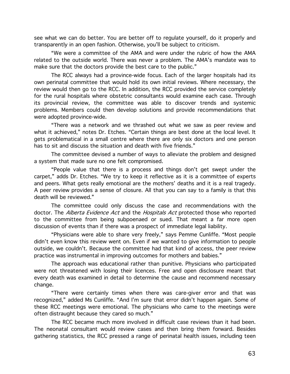see what we can do better. You are better off to regulate yourself, do it properly and transparently in an open fashion. Otherwise, you'll be subject to criticism.

"We were a committee of the AMA and were under the rubric of how the AMA related to the outside world. There was never a problem. The AMA's mandate was to make sure that the doctors provide the best care to the public."

The RCC always had a province-wide focus. Each of the larger hospitals had its own perinatal committee that would hold its own initial reviews. Where necessary, the review would then go to the RCC. In addition, the RCC provided the service completely for the rural hospitals where obstetric consultants would examine each case. Through its provincial review, the committee was able to discover trends and systemic problems. Members could then develop solutions and provide recommendations that were adopted province-wide.

"There was a network and we thrashed out what we saw as peer review and what it achieved," notes Dr. Etches. "Certain things are best done at the local level. It gets problematical in a small centre where there are only six doctors and one person has to sit and discuss the situation and death with five friends."

The committee devised a number of ways to alleviate the problem and designed a system that made sure no one felt compromised.

"People value that there is a process and things don't get swept under the carpet," adds Dr. Etches. "We try to keep it reflective as it is a committee of experts and peers. What gets really emotional are the mothers' deaths and it is a real tragedy. A peer review provides a sense of closure. All that you can say to a family is that this death will be reviewed."

The committee could only discuss the case and recommendations with the doctor. The Alberta Evidence Act and the Hospitals Act protected those who reported to the committee from being subpoenaed or sued. That meant a far more open discussion of events than if there was a prospect of immediate legal liability.

"Physicians were able to share very freely," says Pemme Cunliffe. "Most people didn't even know this review went on. Even if we wanted to give information to people outside, we couldn't. Because the committee had that kind of access, the peer review practice was instrumental in improving outcomes for mothers and babies."

The approach was educational rather than punitive. Physicians who participated were not threatened with losing their licences. Free and open disclosure meant that every death was examined in detail to determine the cause and recommend necessary change.

"There were certainly times when there was care-giver error and that was recognized," added Ms Cunliffe. "And I'm sure that error didn't happen again. Some of these RCC meetings were emotional. The physicians who came to the meetings were often distraught because they cared so much."

The RCC became much more involved in difficult case reviews than it had been. The neonatal consultant would review cases and then bring them forward. Besides gathering statistics, the RCC pressed a range of perinatal health issues, including teen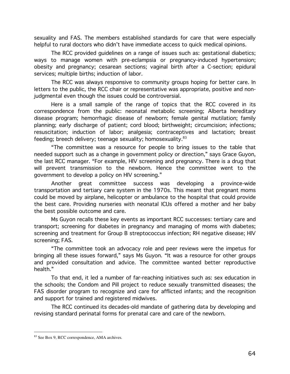sexuality and FAS. The members established standards for care that were especially helpful to rural doctors who didn't have immediate access to quick medical opinions.

The RCC provided quidelines on a range of issues such as: gestational diabetics; ways to manage women with pre-eclampsia or pregnancy-induced hypertension; obesity and pregnancy; cesarean sections; vaginal birth after a C-section; epidural services; multiple births; induction of labor.

The RCC was always responsive to community groups hoping for better care. In letters to the public, the RCC chair or representative was appropriate, positive and nonjudgmental even though the issues could be controversial.

Here is a small sample of the range of topics that the RCC covered in its correspondence from the public: neonatal metabolic screening; Alberta hereditary disease program; hemorrhagic disease of newborn; female genital mutilation; family planning; early discharge of patient; cord blood; birthweight; circumcision; infections; resuscitation; induction of labor; analgesia; contraceptives and lactation; breast feeding; breech delivery; teenage sexuality; homosexuality.<sup>83</sup>

"The committee was a resource for people to bring issues to the table that needed support such as a change in government policy or direction," says Grace Guyon, the last RCC manager. "For example, HIV screening and pregnancy. There is a drug that will prevent transmission to the newborn. Hence the committee went to the government to develop a policy on HIV screening."

Another great committee success was developing a province-wide transportation and tertiary care system in the 1970s. This meant that pregnant moms could be moved by airplane, helicopter or ambulance to the hospital that could provide the best care. Providing nurseries with neonatal ICUs offered a mother and her baby the best possible outcome and care.

Ms Guyon recalls these key events as important RCC successes: tertiary care and transport; screening for diabetes in pregnancy and managing of moms with diabetes; screening and treatment for Group B streptococcus infection; RH negative disease; HIV screening; FAS.

"The committee took an advocacy role and peer reviews were the impetus for bringing all these issues forward," says Ms Guyon. "It was a resource for other groups and provided consultation and advice. The committee wanted better reproductive health."

To that end, it led a number of far-reaching initiatives such as: sex education in the schools; the Condom and Pill project to reduce sexually transmitted diseases; the FAS disorder program to recognize and care for afflicted infants; and the recognition and support for trained and registered midwives.

The RCC continued its decades-old mandate of gathering data by developing and revising standard perinatal forms for prenatal care and care of the newborn.

<sup>&</sup>lt;sup>83</sup> See Box 9, RCC correspondence, AMA archives.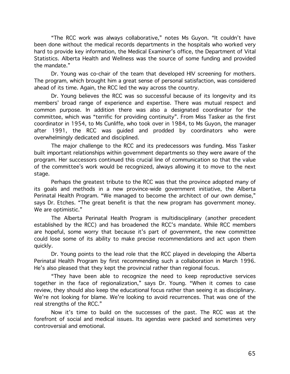"The RCC work was always collaborative," notes Ms Guyon. "It couldn't have been done without the medical records departments in the hospitals who worked very hard to provide key information, the Medical Examiner's office, the Department of Vital Statistics. Alberta Health and Wellness was the source of some funding and provided the mandate."

Dr. Young was co-chair of the team that developed HIV screening for mothers. The program, which brought him a great sense of personal satisfaction, was considered ahead of its time. Again, the RCC led the way across the country.

Dr. Young believes the RCC was so successful because of its longevity and its members' broad range of experience and expertise. There was mutual respect and common purpose. In addition there was also a designated coordinator for the committee, which was "terrific for providing continuity". From Miss Tasker as the first coordinator in 1954, to Ms Cunliffe, who took over in 1984, to Ms Guyon, the manager after 1991, the RCC was guided and prodded by coordinators who were overwhelmingly dedicated and disciplined.

The major challenge to the RCC and its predecessors was funding. Miss Tasker built important relationships within government departments so they were aware of the program. Her successors continued this crucial line of communication so that the value of the committee's work would be recognized, always allowing it to move to the next stage.

Perhaps the greatest tribute to the RCC was that the province adopted many of its goals and methods in a new province-wide government initiative, the Alberta Perinatal Health Program. "We managed to become the architect of our own demise," says Dr. Etches. "The great benefit is that the new program has government money. We are optimistic."

The Alberta Perinatal Health Program is multidisciplinary (another precedent established by the RCC) and has broadened the RCC's mandate. While RCC members are hopeful, some worry that because it's part of government, the new committee could lose some of its ability to make precise recommendations and act upon them quickly.

Dr. Young points to the lead role that the RCC played in developing the Alberta Perinatal Health Program by first recommending such a collaboration in March 1996. He's also pleased that they kept the provincial rather than regional focus.

"They have been able to recognize the need to keep reproductive services together in the face of regionalization," says Dr. Young. "When it comes to case review, they should also keep the educational focus rather than seeing it as disciplinary. We're not looking for blame. We're looking to avoid recurrences. That was one of the real strengths of the RCC."

Now it's time to build on the successes of the past. The RCC was at the forefront of social and medical issues. Its agendas were packed and sometimes very controversial and emotional.